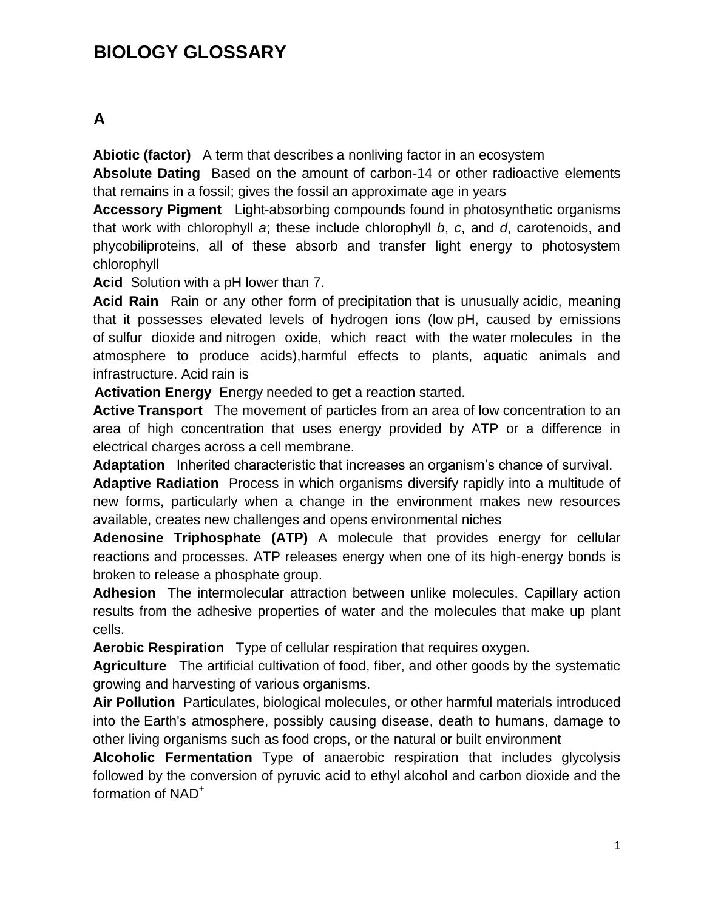# **BIOLOGY GLOSSARY**

## **A**

**Abiotic (factor)** A term that describes a nonliving factor in an ecosystem

**Absolute Dating** Based on the amount of carbon-14 or other radioactive elements that remains in a fossil; gives the fossil an approximate age in years

**Accessory Pigment** Light-absorbing compounds found in photosynthetic organisms that work with chlorophyll *a*; these include chlorophyll *b*, *c*, and *d*, carotenoids, and phycobiliproteins, all of these absorb and transfer light energy to photosystem chlorophyll

**Acid** Solution with a pH lower than 7.

**Acid Rain** Rain or any other form of [precipitation](http://en.wikipedia.org/wiki/Precipitation_(meteorology)) that is unusually [acidic,](http://en.wikipedia.org/wiki/Acid) meaning that it possesses elevated levels of hydrogen ions (low [pH,](http://en.wikipedia.org/wiki/PH) caused by emissions of [sulfur dioxide](http://en.wikipedia.org/wiki/Sulfur_dioxide) and [nitrogen oxide,](http://en.wikipedia.org/wiki/Nitrogen_oxide) which react with the [water](http://en.wikipedia.org/wiki/Water) molecules in the atmosphere to produce acids),harmful effects to plants, aquatic animals and infrastructure. Acid rain is

**Activation Energy** Energy needed to get a reaction started.

**Active Transport** The movement of particles from an area of low concentration to an area of high concentration that uses energy provided by ATP or a difference in electrical charges across a cell membrane.

**Adaptation** Inherited characteristic that increases an organism's chance of survival.

**Adaptive Radiation** Process in which organisms diversify rapidly into a multitude of new forms, particularly when a change in the environment makes new resources available, creates new challenges and opens environmental niches

**Adenosine Triphosphate (ATP)** A molecule that provides energy for cellular reactions and processes. ATP releases energy when one of its high‐energy bonds is broken to release a phosphate group.

**Adhesion** The intermolecular attraction between unlike molecules. Capillary action results from the adhesive properties of water and the molecules that make up plant cells.

**Aerobic Respiration** Type of cellular respiration that requires oxygen.

**Agriculture** The artificial cultivation of food, fiber, and other goods by the systematic growing and harvesting of various organisms.

**Air Pollution** [Particulates,](http://en.wikipedia.org/wiki/Particulates) [biological molecules,](http://en.wikipedia.org/wiki/Biomolecule) or other harmful materials introduced into the [Earth's atmosphere,](http://en.wikipedia.org/wiki/Earth%27s_atmosphere) possibly causing disease, death to humans, damage to other living organisms such as food crops, or the [natural](http://en.wikipedia.org/wiki/Natural_environment) or [built environment](http://en.wikipedia.org/wiki/Built_environment)

**Alcoholic Fermentation** Type of anaerobic respiration that includes glycolysis followed by the conversion of pyruvic acid to ethyl alcohol and carbon dioxide and the formation of NAD<sup>+</sup>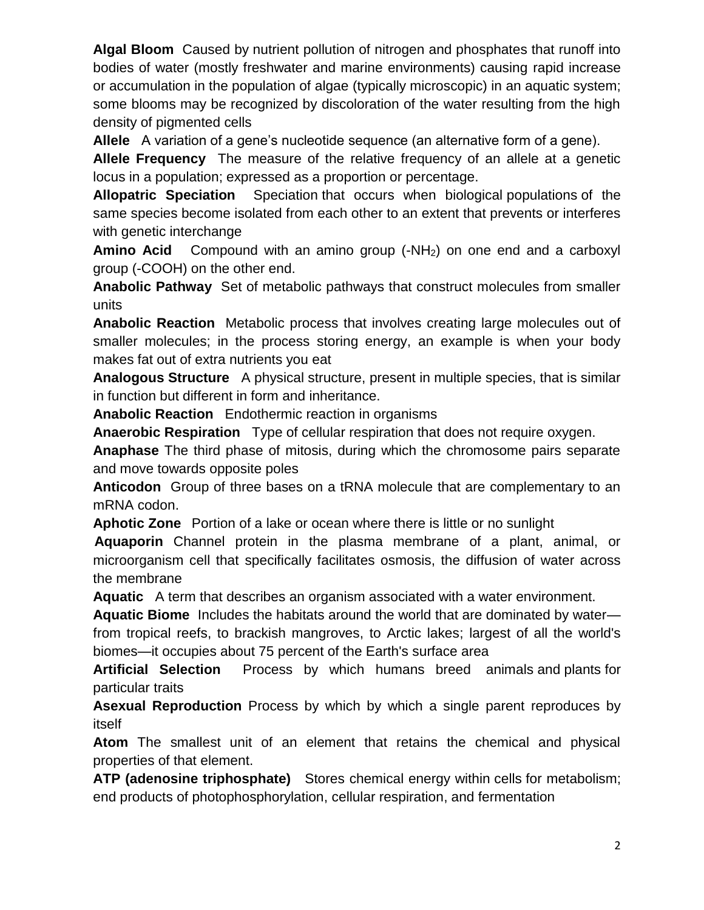**Algal Bloom** Caused by [nutrient pollution o](http://en.wikipedia.org/wiki/Nutrient_pollution)f nitrogen and phosphates that runoff into bodies of water (mostly freshwater and marine environments) causing rapid increase or accumulation in the population of [algae](http://en.wikipedia.org/wiki/Algae) (typically microscopic) in an aquatic system; some blooms may be recognized by discoloration of the water resulting from the high density of pigmented cells

**Allele** A variation of a gene's nucleotide sequence (an alternative form of a gene).

**Allele Frequency** The measure of the relative frequency of an allele at a genetic locus in a population; expressed as a proportion or percentage.

**Allopatric Speciation** [Speciation](http://en.wikipedia.org/wiki/Speciation) that occurs when biological [populations](http://en.wikipedia.org/wiki/Populations) of the same species become isolated from each other to an extent that prevents or interferes with genetic interchange

**Amino Acid** Compound with an amino group (-NH<sub>2</sub>) on one end and a carboxyl group (-COOH) on the other end.

**Anabolic Pathway** Set of metabolic pathways that construct molecules from smaller units

**Anabolic Reaction** Metabolic process that involves creating large molecules out of smaller molecules; in the process storing energy, an example is when your body makes fat out of extra nutrients you eat

**Analogous Structure** A physical structure, present in multiple species, that is similar in function but different in form and inheritance.

**Anabolic Reaction** Endothermic reaction in organisms

**Anaerobic Respiration** Type of cellular respiration that does not require oxygen.

**Anaphase** The third phase of mitosis, during which the chromosome pairs separate and move towards opposite poles

**Anticodon** Group of three bases on a tRNA molecule that are complementary to an mRNA codon.

**Aphotic Zone** Portion of a lake or ocean where there is little or no sunlight

 **Aquaporin** Channel protein in the plasma membrane of a plant, animal, or microorganism cell that specifically facilitates osmosis, the diffusion of water across the membrane

**Aquatic** A term that describes an organism associated with a water environment.

**Aquatic Biome** Includes the habitats around the world that are dominated by water from tropical reefs, to brackish mangroves, to Arctic lakes; largest of all the world's biomes—it occupies about 75 percent of the Earth's surface area

**Artificial Selection** Process by which humans breed [animals](http://en.wikipedia.org/wiki/Animal_breeding) and [plants](http://en.wikipedia.org/wiki/Plant_breeding) for particular [traits](http://en.wikipedia.org/wiki/Phenotypic_trait)

**Asexual Reproduction** Process by which by which a single parent reproduces by itself

**Atom** The smallest unit of an element that retains the chemical and physical properties of that element.

**ATP (adenosine triphosphate)** Stores chemical energy within [cells](http://en.wikipedia.org/wiki/Cell_(biology)) for [metabolism;](http://en.wikipedia.org/wiki/Metabolism) end products of [photophosphorylation,](http://en.wikipedia.org/wiki/Photophosphorylation) [cellular respiration,](http://en.wikipedia.org/wiki/Cellular_respiration) and [fermentation](http://en.wikipedia.org/wiki/Fermentation_(biochemistry))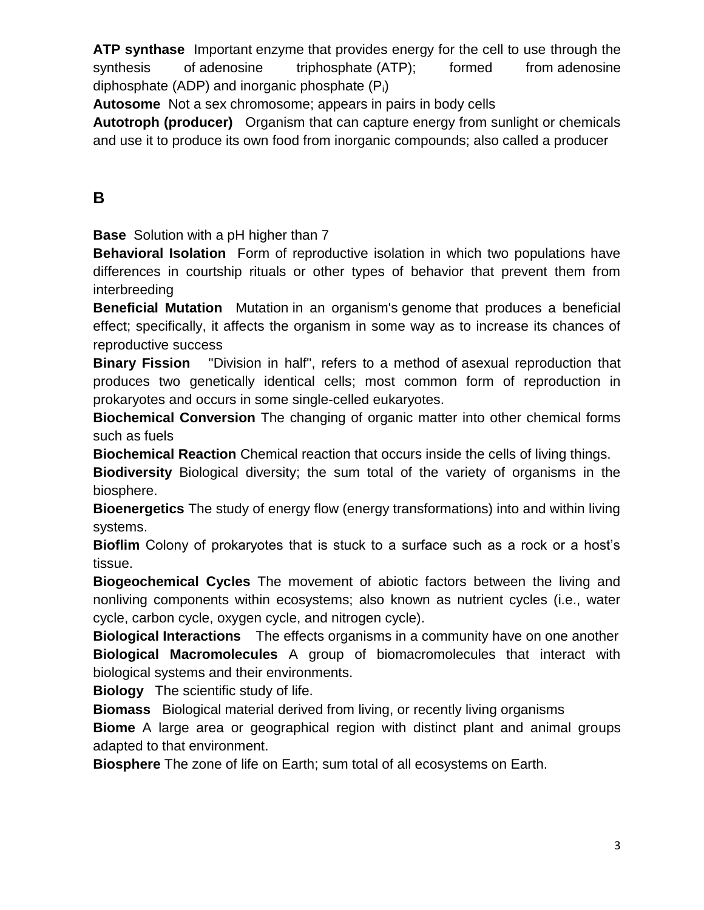**ATP synthase** Important [enzyme](http://en.wikipedia.org/wiki/Enzyme) that provides energy for the cell to use through the synthesis of [adenosine triphosphate](http://en.wikipedia.org/wiki/Adenosine_triphosphate) (ATP); formed from adenosine [diphosphate](http://en.wikipedia.org/wiki/Adenosine_diphosphate) (ADP) and inorganic phosphate  $(P_i)$ 

**Autosome** Not a sex chromosome; appears in pairs in body cells

**Autotroph (producer)** Organism that can capture energy from sunlight or chemicals and use it to produce its own food from inorganic compounds; also called a producer

## **B**

**Base** Solution with a pH higher than 7

**Behavioral Isolation** Form of reproductive isolation in which two populations have differences in courtship rituals or other types of behavior that prevent them from interbreeding

**Beneficial Mutation** [Mutation](http://rationalwiki.org/wiki/Mutation) in an organism's [genome](http://rationalwiki.org/wiki/Genome) that produces a beneficial effect; specifically, it affects the organism in some way as to increase its chances of reproductive success

**Binary Fission** "Division in half", refers to a method of [asexual reproduction](http://simple.wikipedia.org/wiki/Asexual_reproduction) that produces two genetically identical cells; most common form of reproduction in [prokaryotes](http://simple.wikipedia.org/wiki/Prokaryote) and occurs in some single-celled eukaryotes.

**Biochemical Conversion** The changing of organic matter into other chemical forms such as fuels

**Biochemical Reaction** Chemical reaction that occurs inside the cells of living things.

**Biodiversity** Biological diversity; the sum total of the variety of organisms in the biosphere.

**Bioenergetics** The study of energy flow (energy transformations) into and within living systems.

**Bioflim** Colony of prokaryotes that is stuck to a surface such as a rock or a host's tissue.

**Biogeochemical Cycles** The movement of abiotic factors between the living and nonliving components within ecosystems; also known as nutrient cycles (i.e., water cycle, carbon cycle, oxygen cycle, and nitrogen cycle).

**Biological Interactions** The effects [organisms](http://en.wikipedia.org/wiki/Organism) in a [community](http://en.wikipedia.org/wiki/Community_(ecology)) have on one another **Biological Macromolecules** A group of biomacromolecules that interact with biological systems and their environments.

**Biology** The scientific study of life.

**Biomass** [Biological material](http://en.wikipedia.org/wiki/Biomaterial) derived from living, or recently living organisms

**Biome** A large area or geographical region with distinct plant and animal groups adapted to that environment.

**Biosphere** The zone of life on Earth; sum total of all ecosystems on Earth.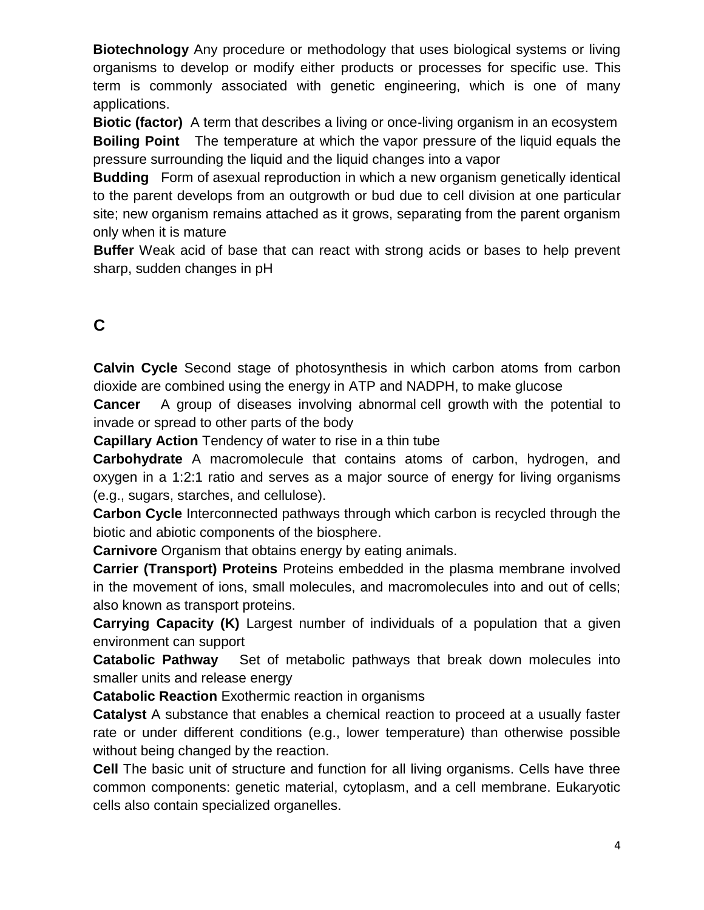**Biotechnology** Any procedure or methodology that uses biological systems or living organisms to develop or modify either products or processes for specific use. This term is commonly associated with genetic engineering, which is one of many applications.

**Biotic (factor)** A term that describes a living or once-living organism in an ecosystem **Boiling Point** The temperature at which the [vapor pressure](http://en.wikipedia.org/wiki/Vapor_pressure) of the [liquid](http://en.wikipedia.org/wiki/Liquid) equals the pressure surrounding the liquid and the liquid changes into a vapor

**Budding** Form of [asexual reproduction](http://en.wikipedia.org/wiki/Asexual_reproduction) in which a new organism genetically identical to the parent develops from an outgrowth or bud due to cell division at one particular site; new organism remains attached as it grows, separating from the parent organism only when it is mature

**Buffer** Weak acid of base that can react with strong acids or bases to help prevent sharp, sudden changes in pH

# **C**

**Calvin Cycle** Second stage of photosynthesis in which carbon atoms from carbon dioxide are combined using the energy in ATP and NADPH, to make glucose

**Cancer** A group of diseases involving abnormal [cell growth](http://en.wikipedia.org/wiki/Cell_growth) with the potential to invade or spread to other parts of the body

**Capillary Action** Tendency of water to rise in a thin tube

**Carbohydrate** A macromolecule that contains atoms of carbon, hydrogen, and oxygen in a 1:2:1 ratio and serves as a major source of energy for living organisms (e.g., sugars, starches, and cellulose).

**Carbon Cycle** Interconnected pathways through which carbon is recycled through the biotic and abiotic components of the biosphere.

**Carnivore** Organism that obtains energy by eating animals.

**Carrier (Transport) Proteins** Proteins embedded in the plasma membrane involved in the movement of ions, small molecules, and macromolecules into and out of cells; also known as transport proteins.

**Carrying Capacity (K)** Largest number of individuals of a population that a given environment can support

**Catabolic Pathway** Set of metabolic pathways that break down molecules into smaller units and release energy

**Catabolic Reaction** Exothermic reaction in organisms

**Catalyst** A substance that enables a chemical reaction to proceed at a usually faster rate or under different conditions (e.g., lower temperature) than otherwise possible without being changed by the reaction.

**Cell** The basic unit of structure and function for all living organisms. Cells have three common components: genetic material, cytoplasm, and a cell membrane. Eukaryotic cells also contain specialized organelles.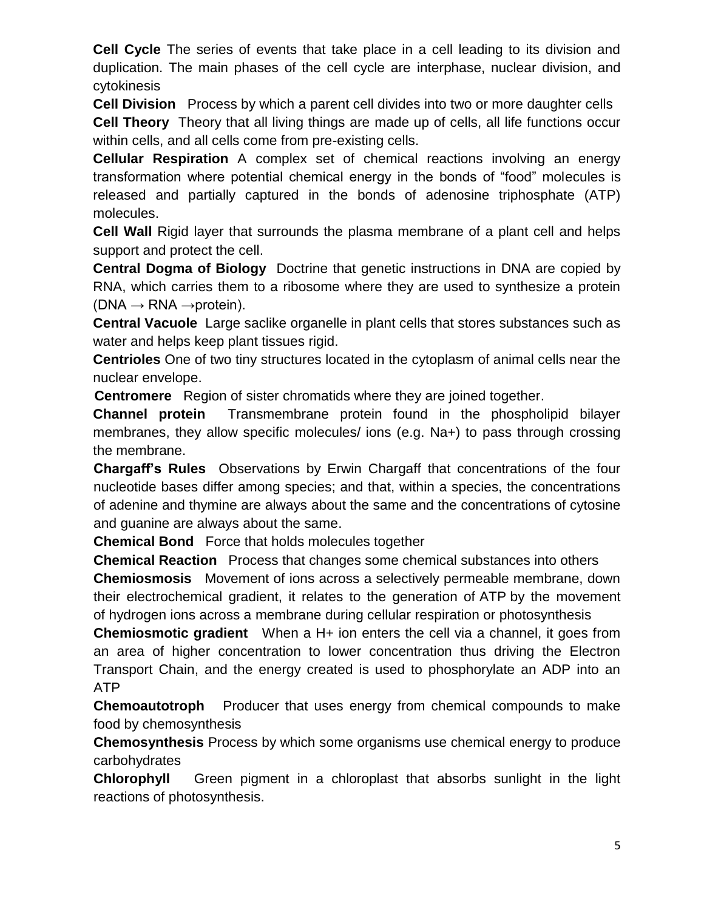**Cell Cycle** The series of events that take place in a cell leading to its division and duplication. The main phases of the cell cycle are interphase, nuclear division, and cytokinesis

**Cell Division** Process by which a parent [cell](http://en.wikipedia.org/wiki/Cell_(biology)) divides into two or more daughter cells

**Cell Theory** Theory that all living things are made up of cells, all life functions occur within cells, and all cells come from pre-existing cells.

**Cellular Respiration** A complex set of chemical reactions involving an energy transformation where potential chemical energy in the bonds of "food" molecules is released and partially captured in the bonds of adenosine triphosphate (ATP) molecules.

**Cell Wall** Rigid layer that surrounds the plasma membrane of a plant cell and helps support and protect the cell.

**Central Dogma of Biology** Doctrine that genetic instructions in DNA are copied by RNA, which carries them to a ribosome where they are used to synthesize a protein  $(DNA \rightarrow RNA \rightarrow protein)$ .

**Central Vacuole** Large saclike organelle in plant cells that stores substances such as water and helps keep plant tissues rigid.

**Centrioles** One of two tiny structures located in the cytoplasm of animal cells near the nuclear envelope.

 **Centromere** Region of sister chromatids where they are joined together.

**Channel protein** Transmembrane protein found in the phospholipid bilayer membranes, they allow specific molecules/ ions (e.g. Na+) to pass through crossing the membrane.

**Chargaff's Rules** Observations by Erwin Chargaff that concentrations of the four nucleotide bases differ among species; and that, within a species, the concentrations of adenine and thymine are always about the same and the concentrations of cytosine and guanine are always about the same.

**Chemical Bond** Force that holds molecules together

**Chemical Reaction** Process that changes some chemical substances into others **Chemiosmosis** Movement of ions across a selectively permeable membrane, down their electrochemical gradient, it relates to the generation of [ATP](http://en.wikipedia.org/wiki/Adenosine_triphosphate) by the movement of [hydrogen](http://en.wikipedia.org/wiki/Hydrogen) ions across a [membrane](http://en.wikipedia.org/wiki/Inner_membrane) during cellular [respiration](http://en.wikipedia.org/wiki/Respiration) or [photosynthesis](http://en.wikipedia.org/wiki/Photosynthesis)

**Chemiosmotic gradient** When a H+ ion enters the cell via a channel, it goes from an area of higher concentration to lower concentration thus driving the Electron Transport Chain, and the energy created is used to phosphorylate an ADP into an ATP

**Chemoautotroph** Producer that uses energy from chemical compounds to make food by chemosynthesis

**Chemosynthesis** Process by which some organisms use chemical energy to produce carbohydrates

**Chlorophyll** Green pigment in a chloroplast that absorbs sunlight in the light reactions of photosynthesis.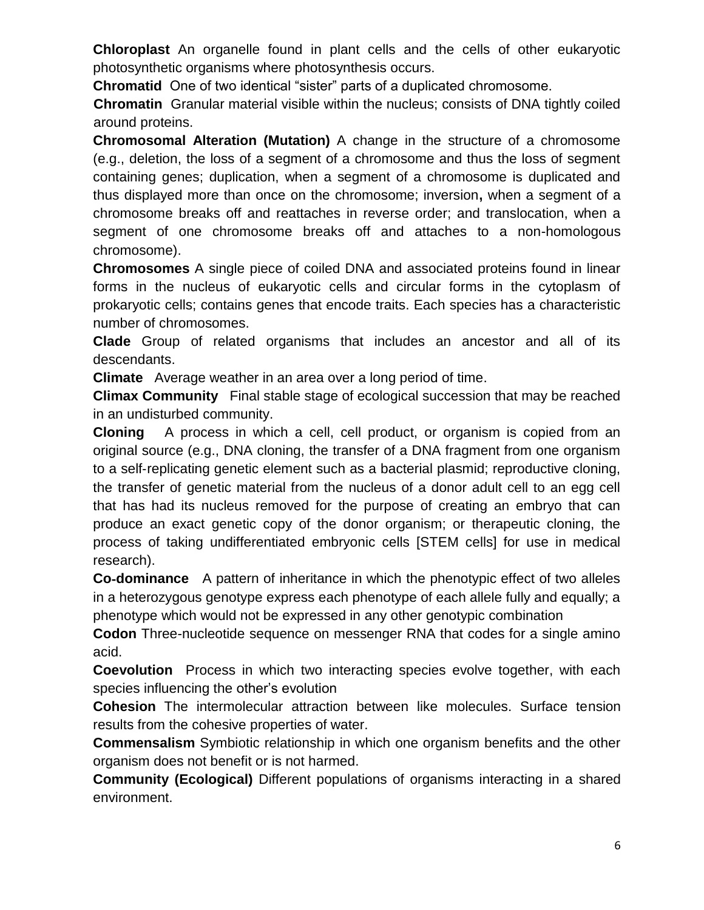**Chloroplast** An organelle found in plant cells and the cells of other eukaryotic photosynthetic organisms where photosynthesis occurs.

**Chromatid** One of two identical "sister" parts of a duplicated chromosome.

**Chromatin** Granular material visible within the nucleus; consists of DNA tightly coiled around proteins.

**Chromosomal Alteration (Mutation)** A change in the structure of a chromosome (e.g., deletion, the loss of a segment of a chromosome and thus the loss of segment containing genes; duplication, when a segment of a chromosome is duplicated and thus displayed more than once on the chromosome; inversion**,** when a segment of a chromosome breaks off and reattaches in reverse order; and translocation, when a segment of one chromosome breaks off and attaches to a non-homologous chromosome).

**Chromosomes** A single piece of coiled DNA and associated proteins found in linear forms in the nucleus of eukaryotic cells and circular forms in the cytoplasm of prokaryotic cells; contains genes that encode traits. Each species has a characteristic number of chromosomes.

**Clade** Group of related organisms that includes an ancestor and all of its descendants.

**Climate** Average weather in an area over a long period of time.

**Climax Community** Final stable stage of ecological succession that may be reached in an undisturbed community.

**Cloning** A process in which a cell, cell product, or organism is copied from an original source (e.g., DNA cloning, the transfer of a DNA fragment from one organism to a self‐replicating genetic element such as a bacterial plasmid; reproductive cloning, the transfer of genetic material from the nucleus of a donor adult cell to an egg cell that has had its nucleus removed for the purpose of creating an embryo that can produce an exact genetic copy of the donor organism; or therapeutic cloning, the process of taking undifferentiated embryonic cells [STEM cells] for use in medical research).

**Co-dominance** A pattern of inheritance in which the phenotypic effect of two alleles in a heterozygous genotype express each phenotype of each allele fully and equally; a phenotype which would not be expressed in any other genotypic combination

**Codon** Three-nucleotide sequence on messenger RNA that codes for a single amino acid.

**Coevolution** Process in which two interacting species evolve together, with each species influencing the other's evolution

**Cohesion** The intermolecular attraction between like molecules. Surface tension results from the cohesive properties of water.

**Commensalism** Symbiotic relationship in which one organism benefits and the other organism does not benefit or is not harmed.

**Community (Ecological)** Different populations of organisms interacting in a shared environment.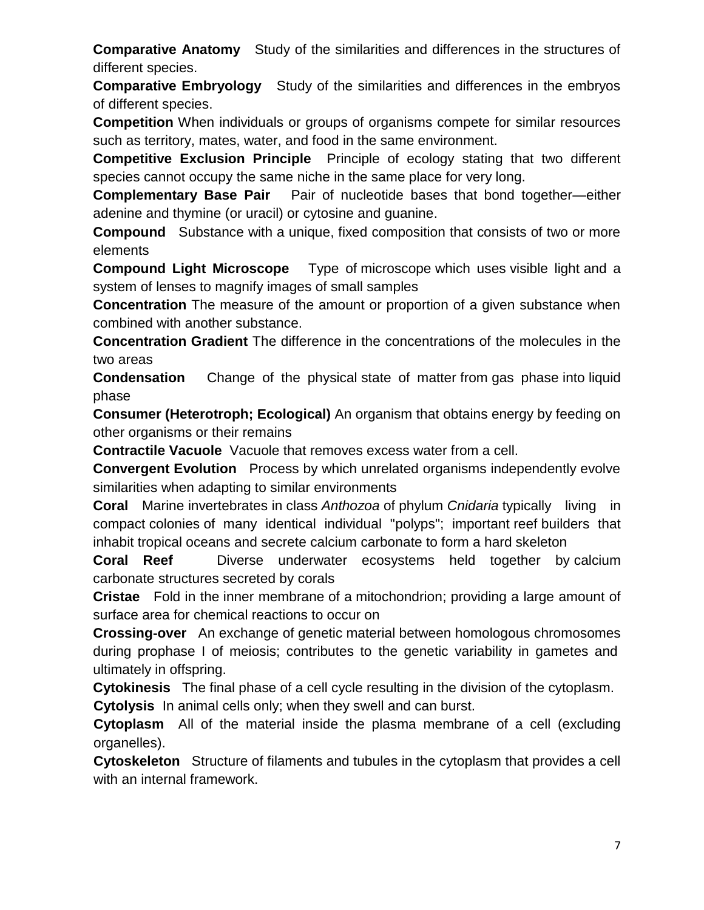**Comparative Anatomy** Study of the similarities and differences in the structures of different species.

**Comparative Embryology** Study of the similarities and differences in the embryos of different species.

**Competition** When individuals or groups of organisms compete for similar resources such as territory, mates, water, and food in the same environment.

**Competitive Exclusion Principle** Principle of ecology stating that two different species cannot occupy the same niche in the same place for very long.

**Complementary Base Pair** Pair of nucleotide bases that bond together—either adenine and thymine (or uracil) or cytosine and guanine.

**Compound** Substance with a unique, fixed composition that consists of two or more elements

**Compound Light Microscope** Type of [microscope](http://en.wikipedia.org/wiki/Microscope) which uses [visible light](http://en.wikipedia.org/wiki/Visible_spectrum) and a system of [lenses](http://en.wikipedia.org/wiki/Lens_(optics)) to magnify images of small samples

**Concentration** The measure of the amount or proportion of a given substance when combined with another substance.

**Concentration Gradient** The difference in the concentrations of the molecules in the two areas

**Condensation** Change of the physical [state of matter](http://en.wikipedia.org/wiki/State_of_matter) from [gas phase](http://en.wikipedia.org/wiki/Gas) into [liquid](http://en.wikipedia.org/wiki/Liquid)  [phase](http://en.wikipedia.org/wiki/Liquid) 

**Consumer (Heterotroph; Ecological)** An organism that obtains energy by feeding on other organisms or their remains

**Contractile Vacuole** Vacuole that removes excess water from a cell.

**Convergent Evolution** Process by which unrelated organisms independently evolve similarities when adapting to similar environments

**Coral** [Marine](http://en.wikipedia.org/wiki/Marine_biology) [invertebrates](http://en.wikipedia.org/wiki/Invertebrates) in [class](http://en.wikipedia.org/wiki/Class_(biology)) *[Anthozoa](http://en.wikipedia.org/wiki/Anthozoa)* of [phylum](http://en.wikipedia.org/wiki/Phylum) *[Cnidaria](http://en.wikipedia.org/wiki/Cnidaria)* typically living in compact [colonies](http://en.wikipedia.org/wiki/Colony_(biology)) of many identical individual ["polyps";](http://en.wikipedia.org/wiki/Polyp) important [reef](http://en.wikipedia.org/wiki/Coral_reef) builders that inhabit tropical [oceans](http://en.wikipedia.org/wiki/Ocean) and secrete [calcium carbonate](http://en.wikipedia.org/wiki/Calcium_carbonate) to form a hard skeleton

**Coral Reef** Diverse underwater ecosystems held together by [calcium](http://en.wikipedia.org/wiki/Calcium_carbonate)  [carbonate](http://en.wikipedia.org/wiki/Calcium_carbonate) structures secreted by [corals](http://en.wikipedia.org/wiki/Coral) 

**Cristae** Fold in the [inner membrane](http://en.wikipedia.org/wiki/Inner_mitochondrial_membrane) of a [mitochondrion;](http://en.wikipedia.org/wiki/Mitochondrion) providing a large amount of surface area for chemical reactions to occur on

**Crossing**‐**over** An exchange of genetic material between homologous chromosomes during prophase I of meiosis; contributes to the genetic variability in gametes and ultimately in offspring.

**Cytokinesis** The final phase of a cell cycle resulting in the division of the cytoplasm.

**Cytolysis** In animal cells only; when they swell and can burst.

**Cytoplasm** All of the material inside the plasma membrane of a cell (excluding organelles).

**Cytoskeleton** Structure of filaments and tubules in the cytoplasm that provides a cell with an internal framework.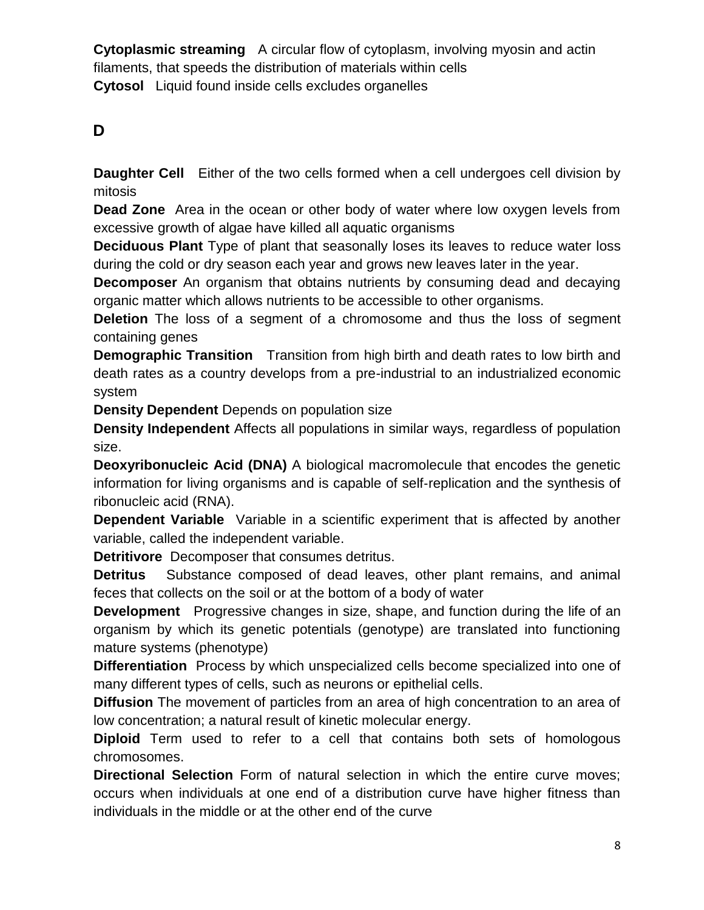**Cytoplasmic streaming** A circular flow of cytoplasm, involving myosin and actin filaments, that speeds the distribution of materials within cells **Cytosol** Liquid found inside [cells](http://en.wikipedia.org/wiki/Cell_(biology)) excludes organelles

## **D**

**Daughter Cell** Either of the two cells formed when a cell undergoes cell division by mitosis

**Dead Zone** Area in the ocean or other body of water where low oxygen levels from excessive growth of algae have killed all aquatic organisms

**Deciduous Plant** Type of plant that seasonally loses its leaves to reduce water loss during the cold or dry season each year and grows new leaves later in the year.

**Decomposer** An organism that obtains nutrients by consuming dead and decaying organic matter which allows nutrients to be accessible to other organisms.

**Deletion** The loss of a segment of a chromosome and thus the loss of segment containing genes

**Demographic Transition** Transition from high [birth](http://en.wikipedia.org/wiki/Birth_rate) and [death rates](http://en.wikipedia.org/wiki/Death_rate) to low birth and death rates as a country develops from a pre-industrial to an industrialized [economic](http://en.wikipedia.org/wiki/Economic_system)  [system](http://en.wikipedia.org/wiki/Economic_system) 

**Density Dependent** Depends on population size

**Density Independent** Affects all populations in similar ways, regardless of population size.

**Deoxyribonucleic Acid (DNA)** A biological macromolecule that encodes the genetic information for living organisms and is capable of self‐replication and the synthesis of ribonucleic acid (RNA).

**Dependent Variable** Variable in a scientific experiment that is affected by another variable, called the independent variable.

**Detritivore** Decomposer that consumes detritus.

**Detritus** Substance composed of dead leaves, other plant remains, and animal feces that collects on the soil or at the bottom of a body of water

**Development** Progressive changes in size, shape, and function during the [life](http://www.britannica.com/EBchecked/topic/340003/life) of an organism by which its genetic potentials (genotype) are translated into functioning mature systems (phenotype)

**Differentiation** Process by which unspecialized cells become specialized into one of many different types of cells, such as neurons or epithelial cells.

**Diffusion** The movement of particles from an area of high concentration to an area of low concentration; a natural result of kinetic molecular energy.

**Diploid** Term used to refer to a cell that contains both sets of homologous chromosomes.

**Directional Selection** Form of natural selection in which the entire curve moves; occurs when individuals at one end of a distribution curve have higher fitness than individuals in the middle or at the other end of the curve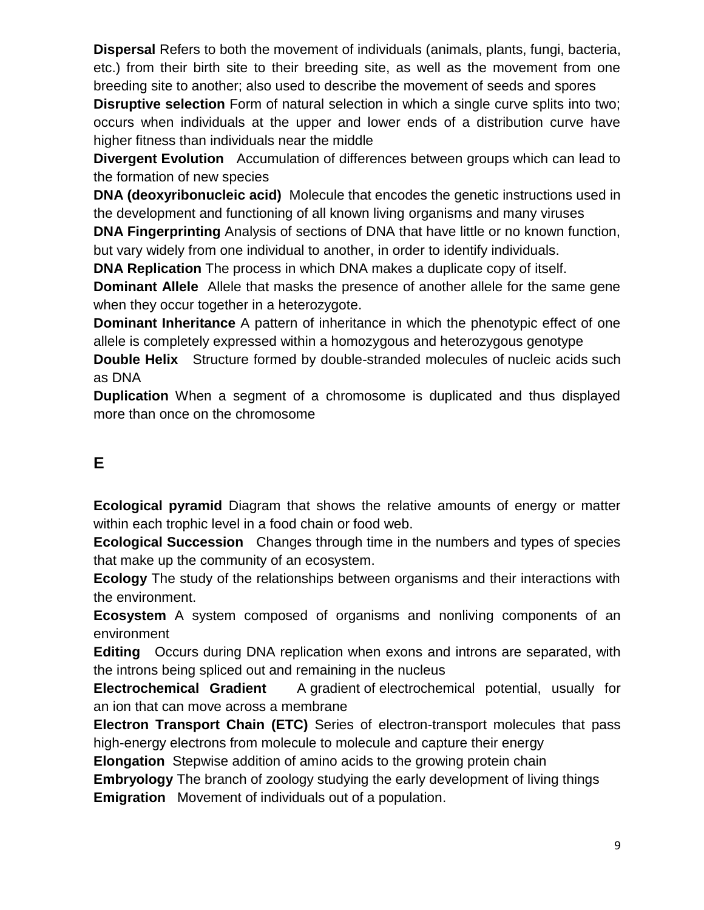**Dispersal** Refers to both the movement of individuals [\(animals,](http://en.wikipedia.org/wiki/Animal) [plants,](http://en.wikipedia.org/wiki/Plant) [fungi,](http://en.wikipedia.org/wiki/Fungi) [bacteria,](http://en.wikipedia.org/wiki/Bacteria) etc.) from their birth site to their breeding site, as well as the movement from one breeding site to another; also used to describe the movement of [seeds](http://en.wikipedia.org/wiki/Seed) and [spores](http://en.wikipedia.org/wiki/Spore)

**Disruptive selection** Form of natural selection in which a single curve splits into two; occurs when individuals at the upper and lower ends of a distribution curve have higher fitness than individuals near the middle

**Divergent Evolution** Accumulation of differences between groups which can lead to the formation of new species

**DNA (deoxyribonucleic acid)** [Molecule](http://en.wikipedia.org/wiki/Molecule) that encodes the [genetic](http://en.wikipedia.org/wiki/Genetics) instructions used in the development and functioning of all known living [organisms](http://en.wikipedia.org/wiki/Organism) and many [viruses](http://en.wikipedia.org/wiki/Virus)

**DNA Fingerprinting** Analysis of sections of DNA that have little or no known function, but vary widely from one individual to another, in order to identify individuals.

**DNA Replication** The process in which DNA makes a duplicate copy of itself.

**Dominant Allele** Allele that masks the presence of another allele for the same gene when they occur together in a heterozygote.

**Dominant Inheritance** A pattern of inheritance in which the phenotypic effect of one allele is completely expressed within a homozygous and heterozygous genotype

**Double Helix** Structure formed by double-stranded molecules of [nucleic acids](http://en.wikipedia.org/wiki/Nucleic_acid) such as [DNA](http://en.wikipedia.org/wiki/DNA)

**Duplication** When a segment of a chromosome is duplicated and thus displayed more than once on the chromosome

# **E**

**Ecological pyramid** Diagram that shows the relative amounts of energy or matter within each trophic level in a food chain or food web.

**Ecological Succession** Changes through time in the numbers and types of species that make up the community of an ecosystem.

**Ecology** The study of the relationships between organisms and their interactions with the environment.

**Ecosystem** A system composed of organisms and nonliving components of an environment

**Editing** Occurs during DNA replication when exons and introns are separated, with the introns being spliced out and remaining in the nucleus

**Electrochemical Gradient** A [gradient](http://en.wikipedia.org/wiki/Gradient) of [electrochemical potential,](http://en.wikipedia.org/wiki/Electrochemical_potential) usually for an [ion](http://en.wikipedia.org/wiki/Ion) that can move across a [membrane](http://en.wikipedia.org/wiki/Membrane)

**Electron Transport Chain (ETC)** Series of electron-transport molecules that pass high-energy electrons from molecule to molecule and capture their energy

**Elongation** Stepwise addition of amino acids to the growing protein chain

**Embryology** The branch of zoology studying the early development of living things **Emigration** Movement of individuals out of a population.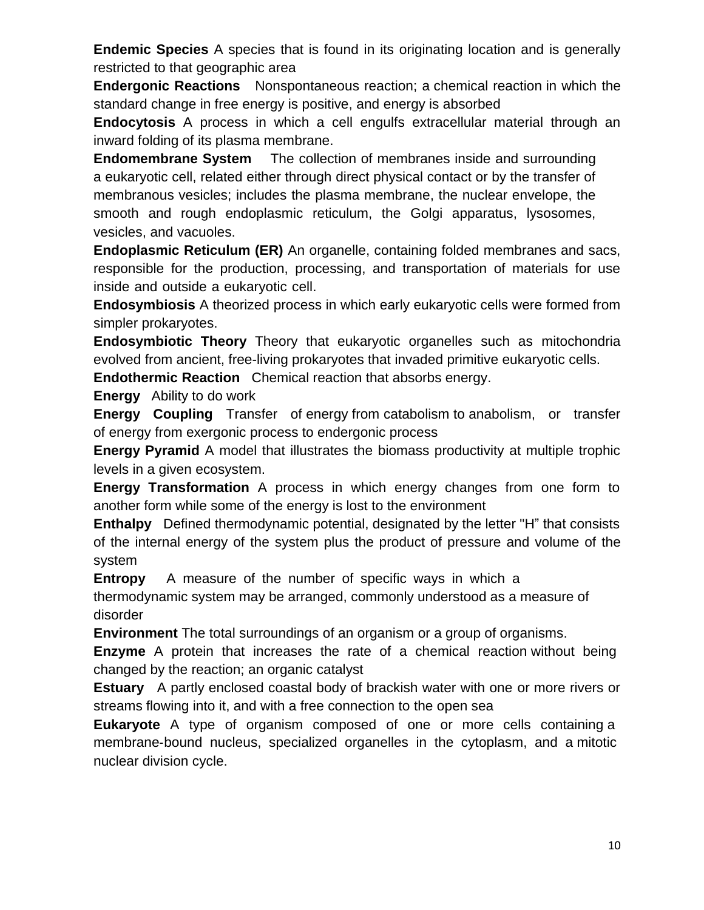**Endemic Species** A species that is found in its originating location and is generally restricted to that geographic area

**Endergonic Reactions** Nonspontaneous reaction; a [chemical reaction](http://en.wikipedia.org/wiki/Chemical_reaction) in which the standard change in [free energy](http://en.wikipedia.org/wiki/Thermodynamic_free_energy) is positive, and energy is absorbed

**Endocytosis** A process in which a cell engulfs extracellular material through an inward folding of its plasma membrane.

**Endomembrane System** The collection of membranes inside and surrounding a eukaryotic cell, related either through direct physical contact or by the transfer of membranous vesicles; includes the plasma membrane, the nuclear envelope, the smooth and rough endoplasmic reticulum, the Golgi apparatus, lysosomes, vesicles, and vacuoles.

**Endoplasmic Reticulum (ER)** An organelle, containing folded membranes and sacs, responsible for the production, processing, and transportation of materials for use inside and outside a eukaryotic cell.

**Endosymbiosis** A theorized process in which early eukaryotic cells were formed from simpler prokaryotes.

**Endosymbiotic Theory** Theory that eukaryotic organelles such as mitochondria evolved from ancient, free-living prokaryotes that invaded primitive eukaryotic cells.

**Endothermic Reaction** Chemical reaction that absorbs energy.

**Energy** Ability to do work

**Energy Coupling** Transfer of energy from catabolism to anabolism, or transfer of energy from exergonic process to endergonic process

**Energy Pyramid** A model that illustrates the biomass productivity at multiple trophic levels in a given ecosystem.

**Energy Transformation** A proc[ess in](http://www.biology-online.org/dictionary/Energy) whi[ch energy c](http://www.biology-online.org/dictionary/Catabolism)h[anges from](http://www.biology-online.org/dictionary/Anabolism) one form to [another fo](http://www.biology-online.org/dictionary/Energy)rm [while some](http://www.biology-online.org/dictionary/Exergonic) of the ene[rgy is lost to t](http://www.biology-online.org/bodict/index.php?title=Endergonic&action=edit)he environment

**Enthalpy** Defined thermodynamic potential, designated by the letter "H" that consists of the internal energy of the system plus the product of pressure and volume of the system

**Entropy** A measure of the number of specific ways in which a

thermodynamic system may be arranged, commonly understood as a measure of disorder

**Environment** The total surroundings of an organism or a group of organisms.

**Enzyme** A protein that increases the rate of a chemical reaction without being changed by the reaction; an organic catalyst

**Estuary** A partly enclosed coastal body of brackish water with one or more rivers or streams flowing into it, and with a free connection to the open sea

**Eukaryote** A type of organism composed of one or more cells containing a membrane‐bound nucleus, specialized organelles in the cytoplasm, and a mitotic nuclear division cycle.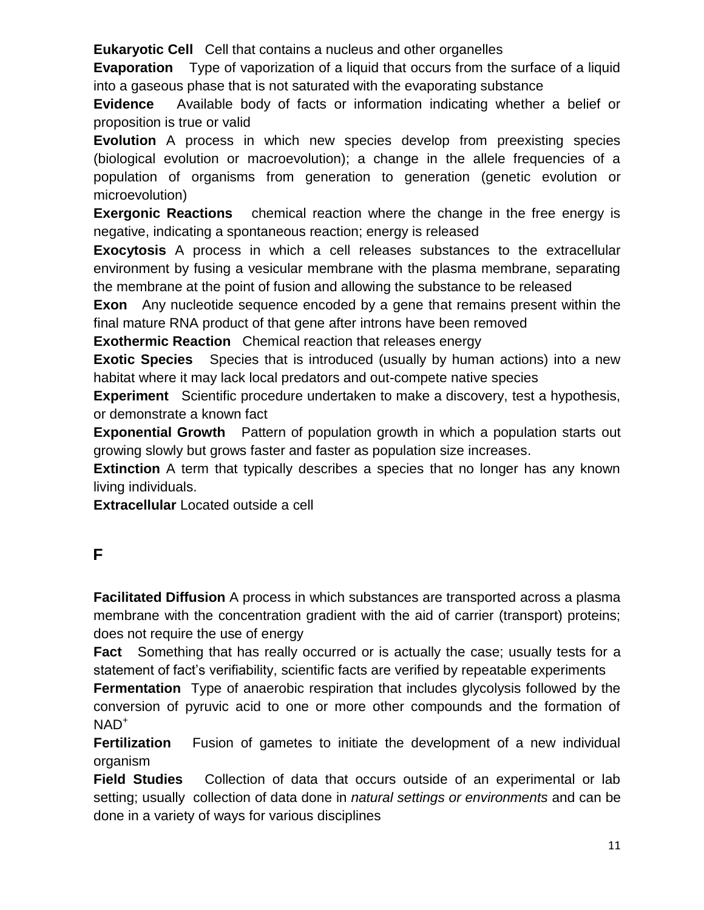**Eukaryotic Cell** Cell that contains a nucleus and other organelles

**Evaporation** Type of vaporization of a liquid that occurs from the surface of a liquid into a gaseous phase that is not saturated with the evaporating substance

**Evidence** Available body of facts or information indicating whether a belief or proposition is true or valid

**Evolution** A process in which new species develop from preexisting species (biological evolution or macroevolution); a change in the allele frequencies of a population of organisms from generation to generation (genetic evolution or microevolution)

**Exergonic Reactions** chemical reaction where the change in the free energy is negative, indicating a spontaneous reaction; energy is released

**Exocytosis** A process in which a cell releases substances to the extracellular environment by fusing a vesicular membrane with the plasma membrane, separating the membrane at the point of fusion and allowing the substance to be released

**Exon** Any nucleotide sequence encoded by a gene that remains present within the final mature RNA product of that gene after introns have been removed

**Exothermic Reaction** Chemical reaction that releases energy

**Exotic Species** Species that is introduced (usually by human actions) into a new habitat where it may lack local predators and out-compete native species

**Experiment** Scientific procedure undertaken to make a discovery, test a hypothesis, or demonstrate a known fact

**Exponential Growth** Pattern of population growth in which a population starts out growing slowly but grows faster and faster as population size increases.

**Extinction** A term that typically describes a species that no longer has any known living individuals.

**Extracellular** Located outside a cell

## **F**

**Facilitated Diffusion** A process in which substances are transported across a plasma membrane with the concentration gradient with the aid of carrier (transport) proteins; does not require the use of energy

**Fact** Something that has really occurred or is actually the case; usually tests for a statement of fact's verifiability, [scientific](http://en.wikipedia.org/wiki/Science) facts are verified by repeatable [experiments](http://en.wikipedia.org/wiki/Experiment)

**Fermentation** Type of anaerobic respiration that includes glycolysis followed by the conversion of pyruvic acid to one or more other compounds and the formation of  $NAD^+$ 

**Fertilization** Fusion of gametes to initiate the development of a new individual organism

**Field Studies** Collection of data that occurs outside of an experimental or lab setting; usually collection of data done in *natural settings or environments* and can be done in a variety of ways for various disciplines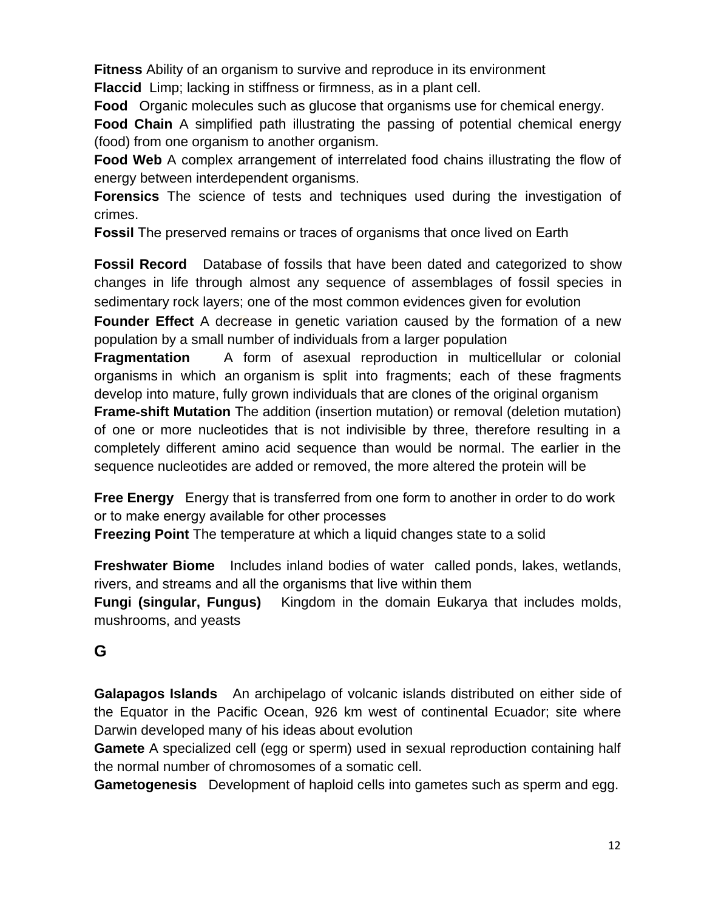**Fitness** Ability of an organism to survive and reproduce in its environment **Flaccid** Limp; lacking in stiffness or firmness, as in a plant cell.

**Food** Organic molecules such as glucose that organisms use for chemical energy.

**Food Chain** A simplified path illustrating the passing of potential chemical energy (food) from one organism to another organism.

**Food Web** A complex arrangement of interrelated food chains illustrating the flow of energy between interdependent organisms.

**Forensics** The science of tests and techniques used during the investigation of crimes.

**Fossil** The preserved remains or traces of organisms that once lived on Earth

**Fossil Record** Database of fossils that have been dated and categorized to show changes in life through almost any sequence of assemblages of fossil species in sedimentary rock layers; one of the most common evidences given for evolution

**Founder Effect** A decrease in genetic variation caused by the formation of a new population by a small number of individuals from a larger population

**Fragmentation** A form of asexual reproduction in multicellular or colonial organisms in which an [organism](http://en.wikipedia.org/wiki/Organism) is split into fragments; each of these fragments develop into mature, fully grown individuals that are clones of the original organism

**Frame**‐**shift Mutation** The addition (insertion mutation) or removal (deletion mutation) of one or more nucleotides that is not indivisible by three, therefore resulting in a completely different amino acid sequence than would be normal. The earlier in the sequence nucleotides are added or removed, the more altered the protein will be

**Free Energy** Energy that is transferred from one form to another in order to do work or to make energy available for other processes

**Freezing Point** The temperature at which a liquid changes state to a solid

**Freshwater Biome** Includes inland bodies of water called ponds, lakes, wetlands, rivers, and streams and all the organisms that live within them

**Fungi (singular, Fungus)** Kingdom in the domain Eukarya that includes molds, mushrooms, and yeasts

## **G**

**Galapagos Islands** An archipelago of volcanic islands distributed on either side of the Equator in the Pacific Ocean, 926 km west of continental Ecuador; site where Darwin developed many of his ideas about evolution

**Gamete** A specialized cell (egg or sperm) used in sexual reproduction containing half the normal number of chromosomes of a somatic cell.

**Gametogenesis** Development of haploid cells into gametes such as sperm and egg.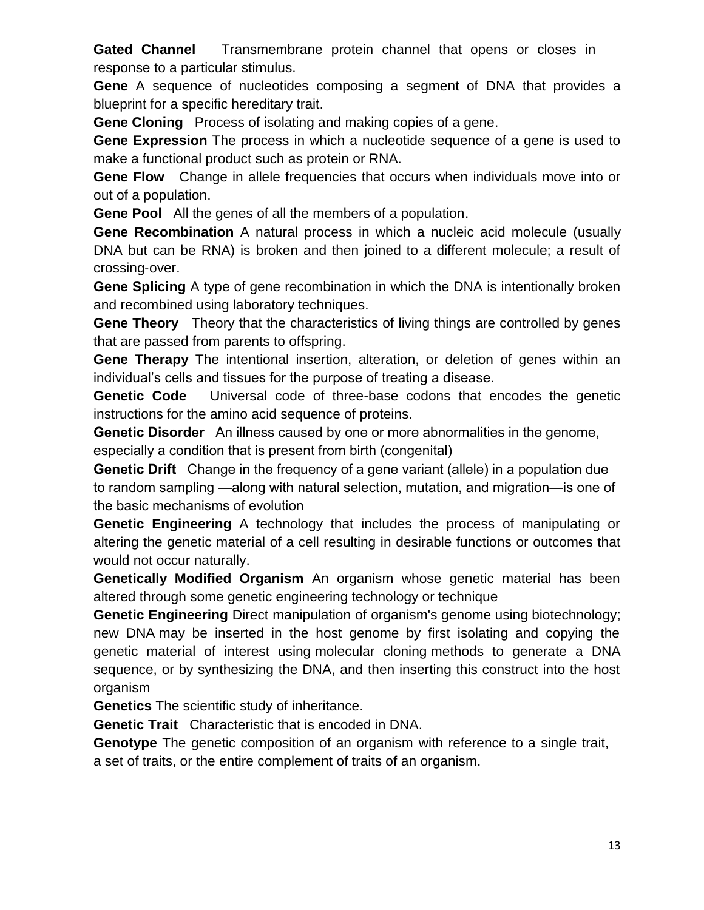**Gated Channel** Transmembrane protein channel that opens or closes in response to a particular stimulus.

**Gene** A sequence of nucleotides composing a segment of DNA that provides a blueprint for a specific hereditary trait.

**Gene Cloning** Process of isolating and making copies of a gene.

**Gene Expression** The process in which a nucleotide sequence of a gene is used to make a functional product such as protein or RNA.

**Gene Flow** Change in allele frequencies that occurs when individuals move into or out of a population.

**Gene Pool** All the genes of all the members of a population.

**Gene Recombination** A natural process in which a nucleic acid molecule (usually DNA but can be RNA) is broken and then joined to a different molecule; a result of crossing‐over.

**Gene Splicing** A type of gene recombination in which the DNA is intentionally broken and recombined using laboratory techniques.

**Gene Theory** Theory that the characteristics of living things are controlled by genes that are passed from parents to offspring.

**Gene Therapy** The intentional insertion, alteration, or deletion of genes within an individual's cells and tissues for the purpose of treating a disease.

**Genetic Code** Universal code of three-base codons that encodes the genetic instructions for the amino acid sequence of proteins.

**Genetic Disorder** An illness caused by one or more abnormalities in the genome, especially a condition that is present from birth (congenital)

**Genetic Drift** Change in the frequency of a gene variant (allele) in a population due to random sampling —along with natural selection, mutation, and migration—is one of the basic mechanisms of evolution

**Genetic Engineering** A technology that includes the process of manipulating or altering the genetic material of a cell resulting in desirable functions or outcomes that would not occur naturally.

**Genetically Modified Organism** An organism whose genetic material has been altered through some genetic engineering technology or technique

**Genetic Engineering** Direct manipulation of organism's [genome](http://en.wikipedia.org/wiki/Genome) using [biotechnology;](http://en.wikipedia.org/wiki/Biotechnology) new [DNA](http://en.wikipedia.org/wiki/DNA) may be inserted in the host genome by first isolating and copying the genetic material of interest using [molecular cloning](http://en.wikipedia.org/wiki/Molecular_cloning) methods to generate a DNA sequence, or by synthesizing the DNA, and then inserting this construct into the host organism

**Genetics** The scientific study of inheritance.

**Genetic Trait** Characteristic that is encoded in DNA.

**Genotype** The genetic composition of an organism with reference to a single trait, a set of traits, or the entire complement of traits of an organism.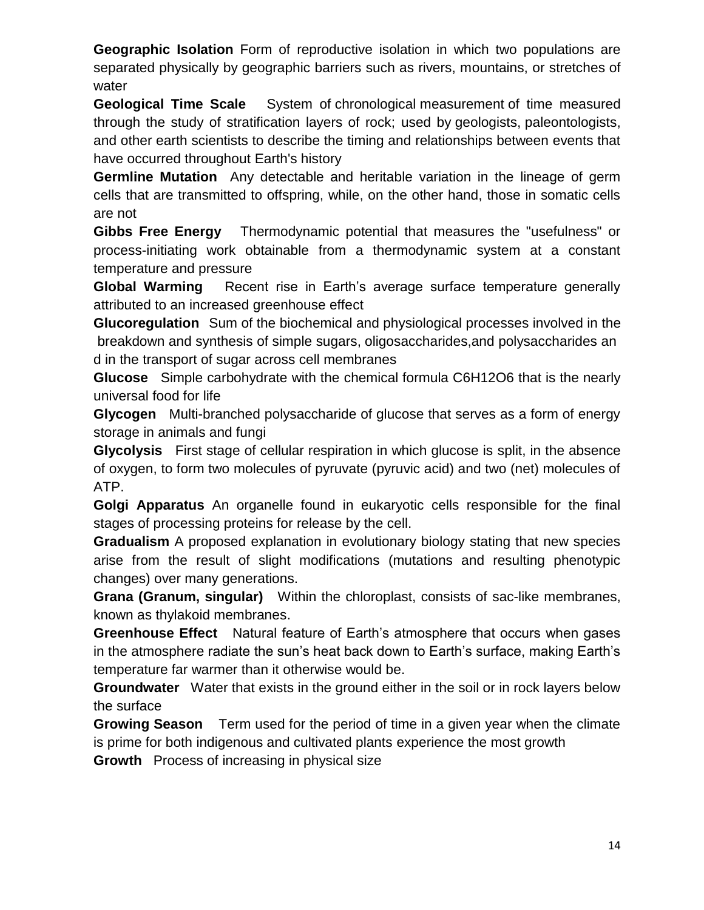**Geographic Isolation** Form of reproductive isolation in which two populations are separated physically by geographic barriers such as rivers, mountains, or stretches of water

**Geological Time Scale** System of [chronological](http://en.wikipedia.org/wiki/Chronology) [measurement](http://en.wikipedia.org/wiki/Metrology) of time measured through the study of stratification layers of rock; used by [geologists,](http://en.wikipedia.org/wiki/Geology) [paleontologists,](http://en.wikipedia.org/wiki/Paleontology) and other [earth scientists](http://en.wikipedia.org/wiki/Earth_sciences) to describe the timing and relationships between events that have occurred throughout [Earth's history](http://en.wikipedia.org/wiki/History_of_the_Earth)

**Germline Mutation** Any detectable and heritable variation in the lineage of germ cells that are transmitted to offspring, while, on the other hand, those in somatic cells are not

**Gibbs Free Energy** Thermodynamic potential that measures the "usefulness" or process-initiating work obtainable from a thermodynamic system at a constant temperature and pressure

**Global Warming** Recent rise in Earth's average surface temperature generally attributed to an increased greenhouse effect

**Glucoregulation** Sum of the biochemical and physiological processes involved in the breakdown and synthesis of simple sugars, oligosaccharides,and polysaccharides an d in the transport of sugar across cell membranes

**Glucose** Simple carbohydrate with the chemical formula C6H12O6 that is the nearly universal food for life

**Glycogen** Multi-branched polysaccharide of glucose that serves as a form of energy storage in animals and fungi

**Glycolysis** First stage of cellular respiration in which glucose is split, in the absence of oxygen, to form two molecules of pyruvate (pyruvic acid) and two (net) molecules of ATP.

**Golgi Apparatus** An organelle found in eukaryotic cells responsible for the final stages of processing proteins for release by the cell.

**Gradualism** A proposed explanation in evolutionary biology stating that new species arise from the result of slight modifications (mutations and resulting phenotypic changes) over many generations.

**Grana (Granum, singular)** Within the chloroplast, consists of sac-like membranes, known as thylakoid membranes.

**Greenhouse Effect** Natural feature of Earth's atmosphere that occurs when gases in the atmosphere radiate the sun's heat back down to Earth's surface, making Earth's temperature far warmer than it otherwise would be.

**Groundwater** Water that exists in the ground either in the soil or in rock layers below the surface

**Growing Season** Term used for the period of time in a given year when the climate is prime for both indigenous and cultivated plants experience the most growth

**Growth** Process of increasing in physical size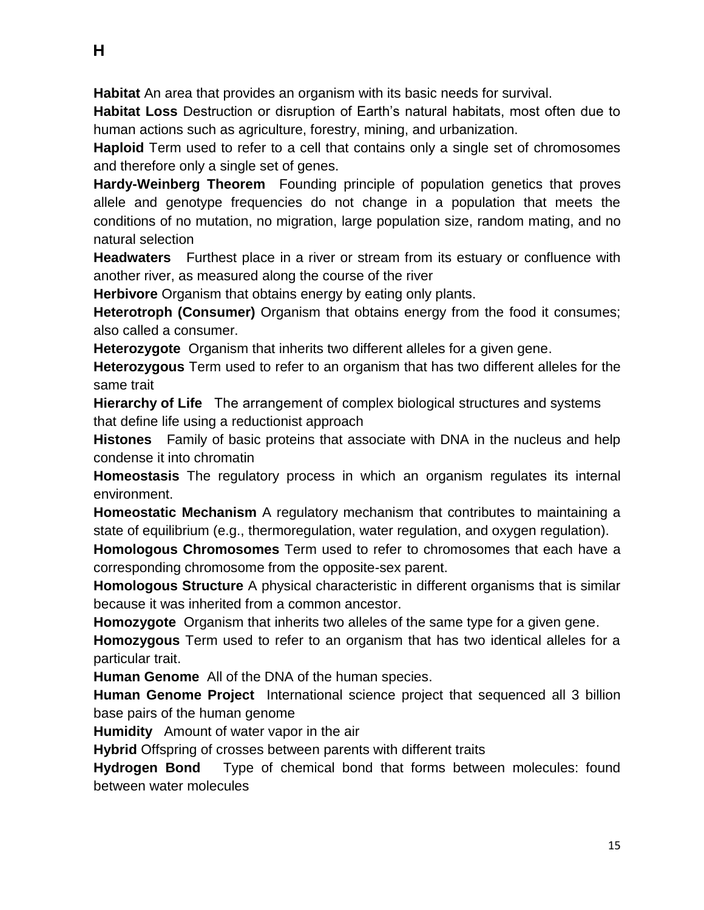**Habitat** An area that provides an organism with its basic needs for survival.

**Habitat Loss** Destruction or disruption of Earth's natural habitats, most often due to human actions such as agriculture, forestry, mining, and urbanization.

**Haploid** Term used to refer to a cell that contains only a single set of chromosomes and therefore only a single set of genes.

**Hardy-Weinberg Theorem** Founding principle of population genetics that proves allele and genotype frequencies do not change in a population that meets the conditions of no mutation, no migration, large population size, random mating, and no natural selection

**Headwaters** Furthest place in a river or stream from its estuary or confluence with another river, as measured along the course of the river

**Herbivore** Organism that obtains energy by eating only plants.

**Heterotroph (Consumer)** Organism that obtains energy from the food it consumes; also called a consumer.

**Heterozygote** Organism that inherits two different alleles for a given gene.

**Heterozygous** Term used to refer to an organism that has two different alleles for the same trait

**Hierarchy of Life** The arrangement of complex biological structures and systems that define life using a reductionist approach

**Histones** Family of basic proteins that associate with DNA in the nucleus and help condense it into chromatin

**Homeostasis** The regulatory process in which an organism regulates its internal environment.

**Homeostatic Mechanism** A regulatory mechanism that contributes to maintaining a state of equilibrium (e.g., thermoregulation, water regulation, and oxygen regulation).

**Homologous Chromosomes** Term used to refer to chromosomes that each have a corresponding chromosome from the opposite-sex parent.

**Homologous Structure** A physical characteristic in different organisms that is similar because it was inherited from a common ancestor.

**Homozygote** Organism that inherits two alleles of the same type for a given gene.

**Homozygous** Term used to refer to an organism that has two identical alleles for a particular trait.

**Human Genome** All of the DNA of the human species.

**Human Genome Project** International science project that sequenced all 3 billion base pairs of the human genome

**Humidity** Amount of water vapor in the air

**Hybrid** Offspring of crosses between parents with different traits

**Hydrogen Bond** Type of chemical bond that forms between molecules: found between water molecules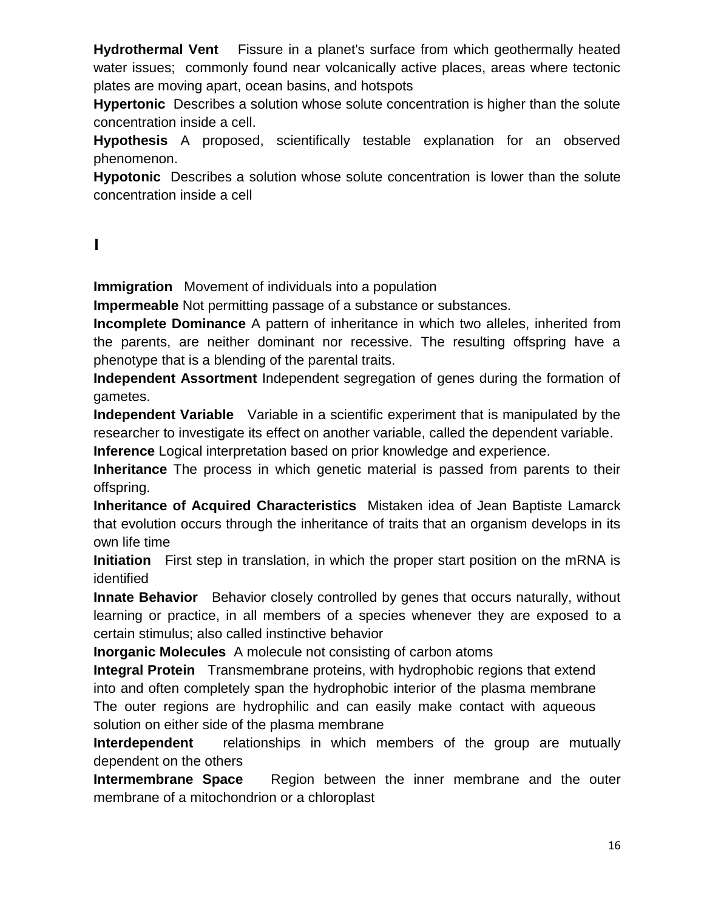**Hydrothermal Vent** Fissure in a planet's surface from which geothermally heated water issues; commonly found near volcanically active places, areas where tectonic plates are moving apart, ocean basins, and hotspots

**Hypertonic** Describes a solution whose solute concentration is higher than the solute concentration inside a cell.

**Hypothesis** A proposed, scientifically testable explanation for an observed phenomenon.

**Hypotonic** Describes a solution whose solute concentration is lower than the solute concentration inside a cell

## **I**

**Immigration** Movement of individuals into a population

**Impermeable** Not permitting passage of a substance or substances.

**Incomplete Dominance** A pattern of inheritance in which two alleles, inherited from the parents, are neither dominant nor recessive. The resulting offspring have a phenotype that is a blending of the parental traits.

**Independent Assortment** Independent segregation of genes during the formation of gametes.

**Independent Variable** Variable in a scientific experiment that is manipulated by the researcher to investigate its effect on another variable, called the dependent variable. **Inference** Logical interpretation based on prior knowledge and experience.

**Inheritance** The process in which genetic material is passed from parents to their offspring.

**Inheritance of Acquired Characteristics** Mistaken idea of Jean Baptiste Lamarck that evolution occurs through the inheritance of traits that an organism develops in its own life time

**Initiation** First step in translation, in which the proper start position on the mRNA is identified

**Innate Behavior** Behavior closely controlled by genes that occurs naturally, without learning or practice, in all members of a species whenever they are exposed to a certain stimulus; also called instinctive behavior

**Inorganic Molecules** A [molecule](http://www.biology-online.org/dictionary/Molecule) not consisting of [carbon](http://www.biology-online.org/dictionary/Carbon) atoms

**Integral Protein** Transmembrane proteins, with hydrophobic regions that extend into and often completely span the hydrophobic interior of the plasma membrane The outer regions are hydrophilic and can easily make contact with aqueous solution on either side of the plasma membrane

**Interdependent** relationships in which members of the group are mutually dependent on the others

**Intermembrane Space** Region between the inner membrane and the outer membrane of a mitochondrion or a chloroplast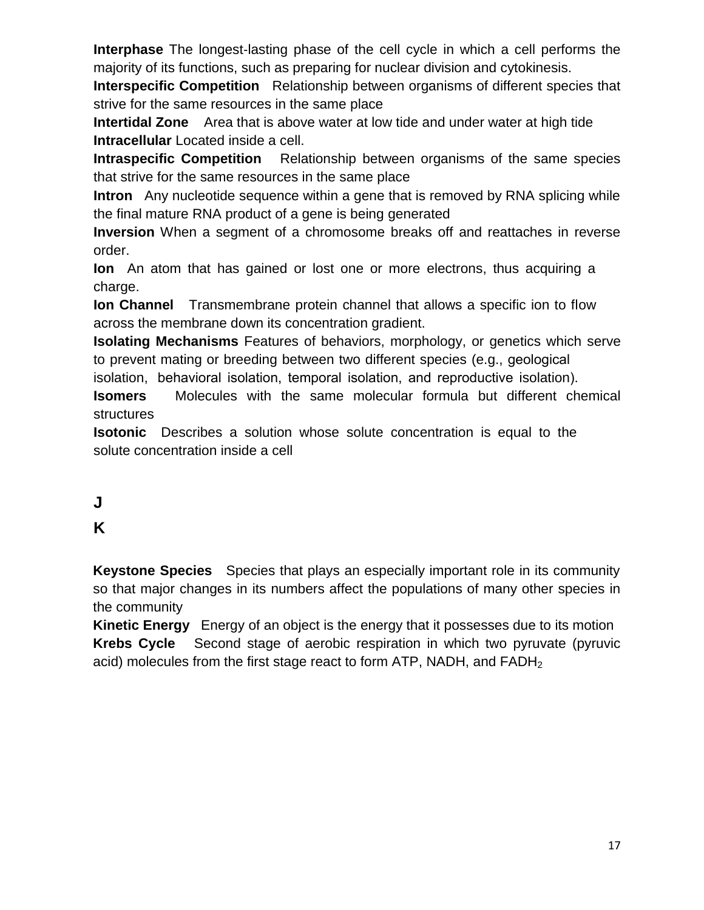**Interphase** The longest‐lasting phase of the cell cycle in which a cell performs the majority of its functions, such as preparing for nuclear division and cytokinesis.

**Interspecific Competition** Relationship between organisms of different species that strive for the same resources in the same place

**Intertidal Zone** Area that is above water at low tide and under water at high tide **Intracellular** Located inside a cell.

**Intraspecific Competition** Relationship between organisms of the same species that strive for the same resources in the same place

**Intron** Any nucleotide sequence within a gene that is removed by RNA splicing while the final mature RNA product of a gene is being generated

**Inversion** When a segment of a chromosome breaks off and reattaches in reverse order.

**Ion** An atom that has gained or lost one or more electrons, thus acquiring a charge.

**Ion Channel** Transmembrane protein channel that allows a specific ion to flow across the membrane down its concentration gradient.

**Isolating Mechanisms** Features of behaviors, morphology, or genetics which serve to prevent mating or breeding between two different species (e.g., geological

isolation, behavioral isolation, temporal isolation, and reproductive isolation).

**Isomers** Molecules with the same molecular formula but different chemical structures

**Isotonic** Describes a solution whose solute concentration is equal to the solute concentration inside a cell

**J** 

# **K**

**Keystone Species** Species that plays an especially important role in its community so that major changes in its numbers affect the populations of many other species in the community

**Kinetic Energy** Energy of an object is the energy that it possesses due to its motion **Krebs Cycle** Second stage of aerobic respiration in which two pyruvate (pyruvic acid) molecules from the first stage react to form ATP, NADH, and  $FADH<sub>2</sub>$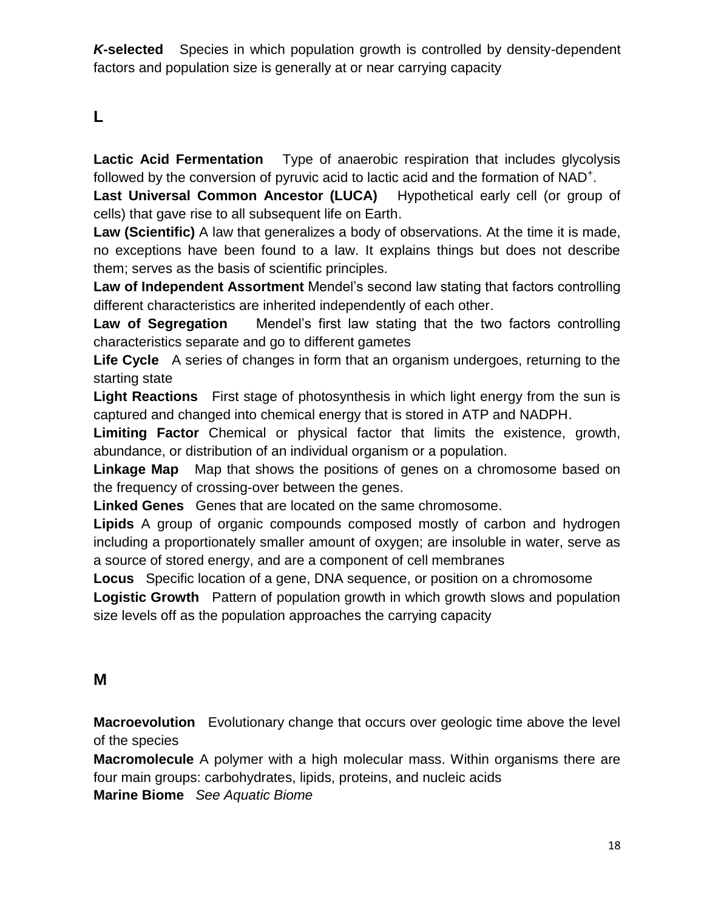*K***-selected** Species in which population growth is controlled by density-dependent factors and population size is generally at or near carrying capacity

## **L**

**Lactic Acid Fermentation** Type of anaerobic respiration that includes glycolysis followed by the conversion of pyruvic acid to lactic acid and the formation of NAD<sup>+</sup>.

**Last Universal Common Ancestor (LUCA)** Hypothetical early cell (or group of cells) that gave rise to all subsequent life on Earth.

**Law (Scientific)** A law that generalizes a body of observations. At the time it is made, no exceptions have been found to a law. It explains things but does not describe them; serves as the basis of scientific principles.

**Law of Independent Assortment** Mendel's second law stating that factors controlling different characteristics are inherited independently of each other.

**Law of Segregation** Mendel's first law stating that the two factors controlling characteristics separate and go to different gametes

**Life Cycle** A series of changes in form that an organism undergoes, returning to the starting state

**Light Reactions** First stage of photosynthesis in which light energy from the sun is captured and changed into chemical energy that is stored in ATP and NADPH.

**Limiting Factor** Chemical or physical factor that limits the existence, growth, abundance, or distribution of an individual organism or a population.

**Linkage Map** Map that shows the positions of genes on a chromosome based on the frequency of crossing-over between the genes.

**Linked Genes** Genes that are located on the same chromosome.

**Lipids** A group of organic compounds composed mostly of carbon and hydrogen including a proportionately smaller amount of oxygen; are insoluble in water, serve as a source of stored energy, and are a component of cell membranes

**Locus** Specific location of a gene, DNA sequence, or position on a chromosome **Logistic Growth** Pattern of population growth in which growth slows and population size levels off as the population approaches the carrying capacity

#### **M**

**Macroevolution** Evolutionary change that occurs over geologic time above the level of the species

**Macromolecule** A polymer with a high molecular mass. Within organisms there are four main groups: carbohydrates, lipids, proteins, and nucleic acids

**Marine Biome** *See Aquatic Biome*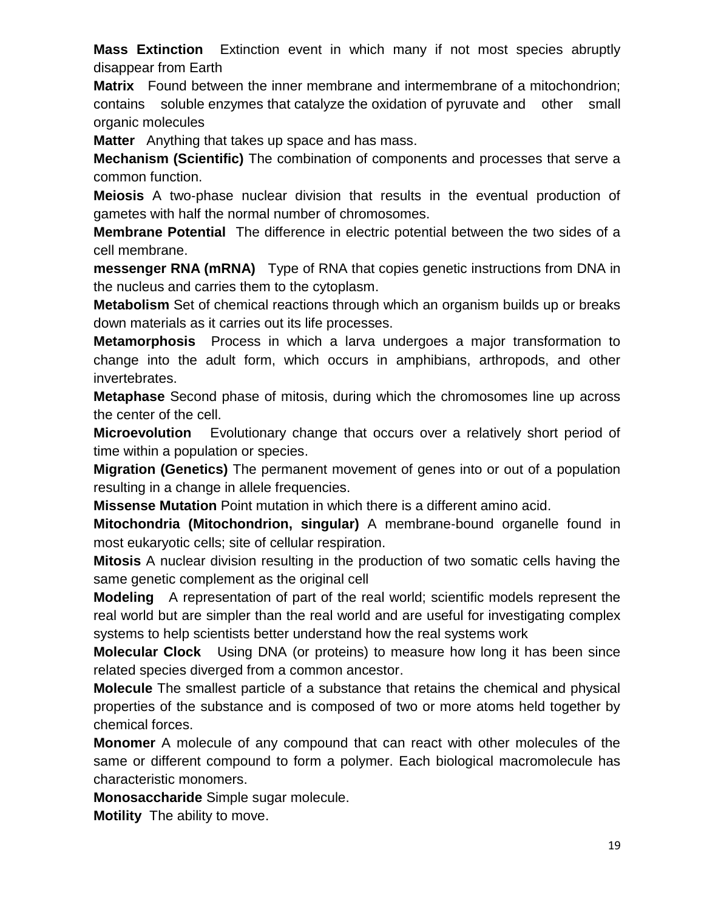**Mass Extinction** Extinction event in which many if not most species abruptly disappear from Earth

**Matrix** Found between the inner membrane and intermembrane of a mitochondrion; contains soluble [enzymes](http://en.wikipedia.org/wiki/Enzyme) that [catalyze](http://en.wikipedia.org/wiki/Catalysis) the [oxidation](http://en.wikipedia.org/wiki/Oxidation) of [pyruvate](http://en.wikipedia.org/wiki/Pyruvic_acid) and other small organic molecules

**Matter** Anything that takes up space and has mass.

**Mechanism (Scientific)** The combination of components and processes that serve a common function.

**Meiosis** A two‐phase nuclear division that results in the eventual production of gametes with half the normal number of chromosomes.

**Membrane Potential** The difference in electric potential between the two sides of a cell membrane.

**messenger RNA (mRNA)** Type of RNA that copies genetic instructions from DNA in the nucleus and carries them to the cytoplasm.

**Metabolism** Set of chemical reactions through which an organism builds up or breaks down materials as it carries out its life processes.

**Metamorphosis** Process in which a larva undergoes a major transformation to change into the adult form, which occurs in amphibians, arthropods, and other invertebrates.

**Metaphase** Second phase of mitosis, during which the chromosomes line up across the center of the cell.

**Microevolution** Evolutionary change that occurs over a relatively short period of time within a population or species.

**Migration (Genetics)** The permanent movement of genes into or out of a population resulting in a change in allele frequencies.

**Missense Mutation** Point mutation in which there is a different amino acid.

**Mitochondria (Mitochondrion, singular)** A membrane‐bound organelle found in most eukaryotic cells; site of cellular respiration.

**Mitosis** A nuclear division resulting in the production of two somatic cells having the same genetic complement as the original cell

**Modeling** A representation of part of the real world; scientific models represent the real world but are simpler than the real world and are useful for investigating complex systems to help scientists better understand how the real systems work

**Molecular Clock** Using DNA (or proteins) to measure how long it has been since related species diverged from a common ancestor.

**Molecule** The smallest particle of a substance that retains the chemical and physical properties of the substance and is composed of two or more atoms held together by chemical forces.

**Monomer** A molecule of any compound that can react with other molecules of the same or different compound to form a polymer. Each biological macromolecule has characteristic monomers.

**Monosaccharide** Simple sugar molecule.

**Motility** The ability to move.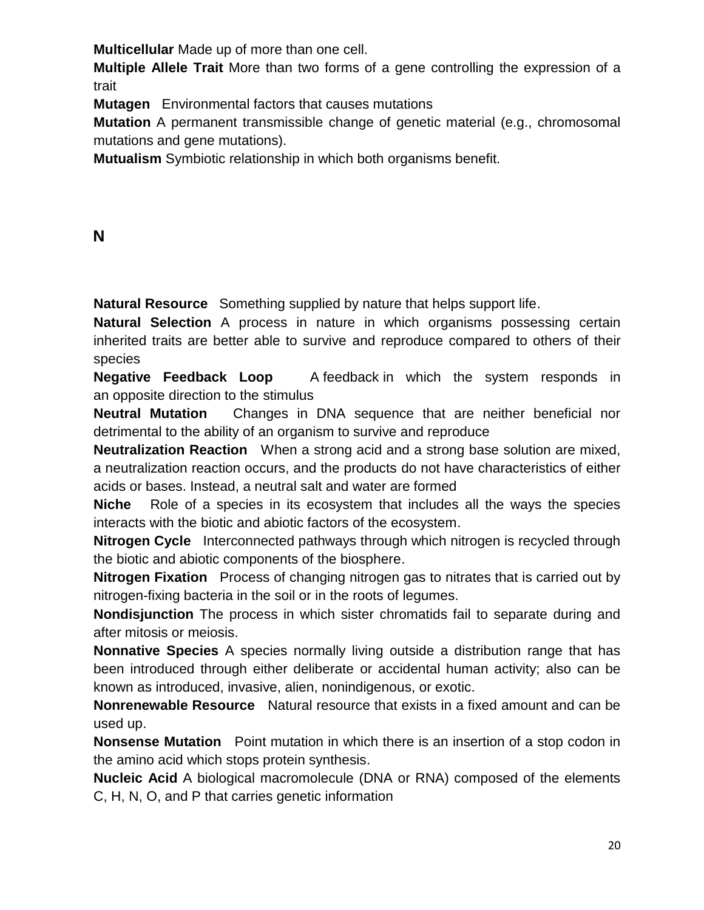**Multicellular** Made up of more than one cell.

**Multiple Allele Trait** More than two forms of a gene controlling the expression of a trait

**Mutagen** Environmental factors that causes mutations

**Mutation** A permanent transmissible change of genetic material (e.g., chromosomal mutations and gene mutations).

**Mutualism** Symbiotic relationship in which both organisms benefit.

#### **N**

**Natural Resource** Something supplied by nature that helps support life.

**Natural Selection** A process in nature in which organisms possessing certain inherited traits are better able to survive and reproduce compared to others of their species

**Negative Feedback Loop** A [feedback](http://www.biology-online.org/dictionary/Feedback) in which the system responds in an opposite direction to the stimulus

**Neutral Mutation** Changes in DNA sequence that are neither beneficial nor detrimental to the ability of an organism to survive and reproduce

**Neutralization Reaction** When a strong acid and a strong base solution are mixed, a neutralization reaction occurs, and the products do not have characteristics of either acids or bases. Instead, a neutral salt and water are formed

**Niche** Role of a species in its ecosystem that includes all the ways the species interacts with the biotic and abiotic factors of the ecosystem.

**Nitrogen Cycle** Interconnected pathways through which nitrogen is recycled through the biotic and abiotic components of the biosphere.

**Nitrogen Fixation** Process of changing nitrogen gas to nitrates that is carried out by nitrogen-fixing bacteria in the soil or in the roots of legumes.

**Nondisjunction** The process in which sister chromatids fail to separate during and after mitosis or meiosis.

**Nonnative Species** A species normally living outside a distribution range that has been introduced through either deliberate or accidental human activity; also can be known as introduced, invasive, alien, nonindigenous, or exotic.

**Nonrenewable Resource** Natural resource that exists in a fixed amount and can be used up.

**Nonsense Mutation** Point mutation in which there is an insertion of a stop codon in the amino acid which stops protein synthesis.

**Nucleic Acid** A biological macromolecule (DNA or RNA) composed of the elements C, H, N, O, and P that carries genetic information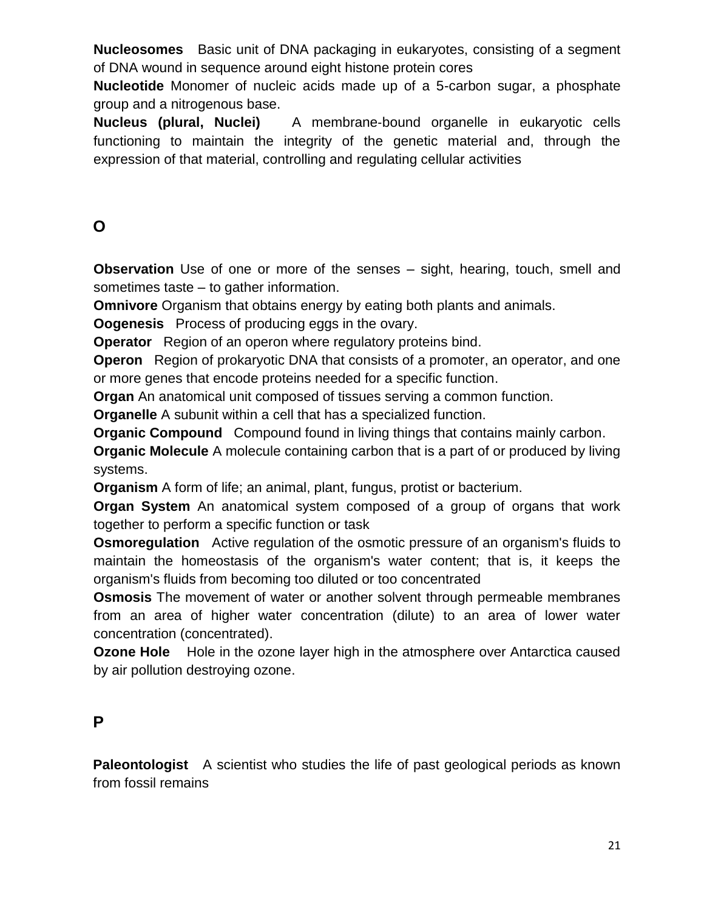**Nucleosomes** Basic unit of DNA packaging in eukaryotes, consisting of a segment of DNA wound in sequence around eight histone protein cores

**Nucleotide** Monomer of nucleic acids made up of a 5-carbon sugar, a phosphate group and a nitrogenous base.

**Nucleus (plural, Nuclei)** A membrane‐bound organelle in eukaryotic cells functioning to maintain the integrity of the genetic material and, through the expression of that material, controlling and regulating cellular activities

# **O**

**Observation** Use of one or more of the senses – sight, hearing, touch, smell and sometimes taste – to gather information.

**Omnivore** Organism that obtains energy by eating both plants and animals.

**Oogenesis** Process of producing eggs in the ovary.

**Operator** Region of an operon where regulatory proteins bind.

**Operon** Region of prokaryotic DNA that consists of a promoter, an operator, and one or more genes that encode proteins needed for a specific function.

**Organ** An anatomical unit composed of tissues serving a common function.

**Organelle** A subunit within a cell that has a specialized function.

**Organic Compound** Compound found in living things that contains mainly carbon.

**Organic Molecule** A molecule containing carbon that is a part of or produced by living systems.

**Organism** A form of life; an animal, plant, fungus, protist or bacterium.

**Organ System** An anatomical system composed of a group of organs that work together to perform a specific function or task

**Osmoregulation** Active regulation of the osmotic pressure of an organism's fluids to maintain the homeostasis of the organism's water content; that is, it keeps the organism's fluids from becoming too diluted or too concentrated

**Osmosis** The movement of water or another solvent through permeable membranes from an area of higher water concentration (dilute) to an area of lower water concentration (concentrated).

**Ozone Hole** Hole in the ozone layer high in the atmosphere over Antarctica caused by air pollution destroying ozone.

## **P**

**Paleontologist** A scientist who studies the life of past geological periods as known from fossil remains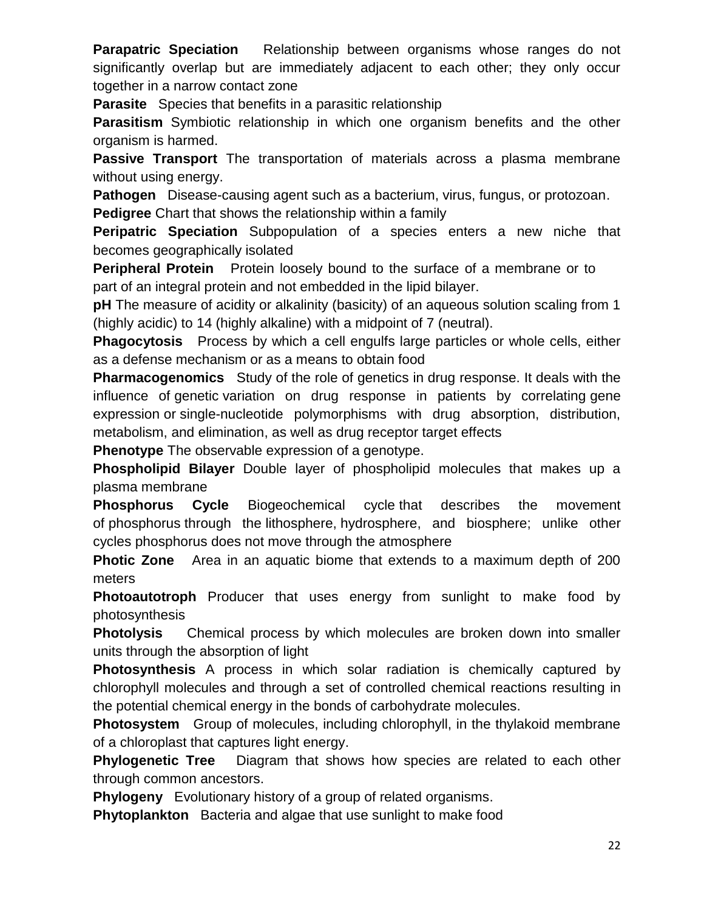**Parapatric Speciation** Relationship between organisms whose ranges do not significantly overlap but are immediately adjacent to each other; they only occur together in a narrow contact zone

**Parasite** Species that benefits in a parasitic relationship

**Parasitism** Symbiotic relationship in which one organism benefits and the other organism is harmed.

**Passive Transport** The transportation of materials across a plasma membrane without using energy.

**Pathogen** Disease-causing agent such as a bacterium, virus, fungus, or protozoan.

**Pedigree** Chart that shows the relationship within a family

**Peripatric Speciation** Subpopulation of a species enters a new niche that becomes geographically isolated

**Peripheral Protein** Protein loosely bound to the surface of a membrane or to part of an integral protein and not embedded in the lipid bilayer.

**pH** The measure of acidity or alkalinity (basicity) of an aqueous solution scaling from 1 (highly acidic) to 14 (highly alkaline) with a midpoint of 7 (neutral).

**Phagocytosis** Process by which a cell engulfs large particles or whole cells, either as a defense mechanism or as a means to obtain food

**Pharmacogenomics** Study of the role of genetics in drug response. It deals with the influence of [genetic](http://en.wikipedia.org/wiki/Genetics) variation on drug response in patients by correlating [gene](http://en.wikipedia.org/wiki/Gene_expression)  [expression](http://en.wikipedia.org/wiki/Gene_expression) or [single-nucleotide polymorphisms with drug absorption, distribution,](http://en.wikipedia.org/wiki/Single-nucleotide_polymorphism)  [metabolism, a](http://en.wikipedia.org/wiki/Single-nucleotide_polymorphism)nd [elimination,](http://en.wikipedia.org/wiki/Elimination) as well as drug receptor target effects

**Phenotype** The observable expression of a genotype.

**Phospholipid Bilayer** Double layer of phospholipid molecules that makes up a plasma membrane

**Phosphorus Cycle** [Biogeochemical cycle](http://en.wikipedia.org/wiki/Biogeochemical_cycle) that describes the movement of [phosphorus](http://en.wikipedia.org/wiki/Phosphorus) through the [lithosphere,](http://en.wikipedia.org/wiki/Lithosphere) [hydrosphere,](http://en.wikipedia.org/wiki/Hydrosphere) and [biosphere;](http://en.wikipedia.org/wiki/Biosphere) unlike other cycles phosphorus does not move through the atmosphere

**Photic Zone** Area in an aquatic biome that extends to a maximum depth of 200 meters

**Photoautotroph** Producer that uses energy from sunlight to make food by photosynthesis

**Photolysis** Chemical process by which molecules are broken down into smaller units through the absorption of light

**Photosynthesis** A process in which solar radiation is chemically captured by chlorophyll molecules and through a set of controlled chemical reactions resulting in the potential chemical energy in the bonds of carbohydrate molecules.

**Photosystem** Group of molecules, including chlorophyll, in the thylakoid membrane of a chloroplast that captures light energy.

**Phylogenetic Tree** Diagram that shows how species are related to each other through common ancestors.

**Phylogeny** Evolutionary history of a group of related organisms.

**Phytoplankton** Bacteria and algae that use sunlight to make food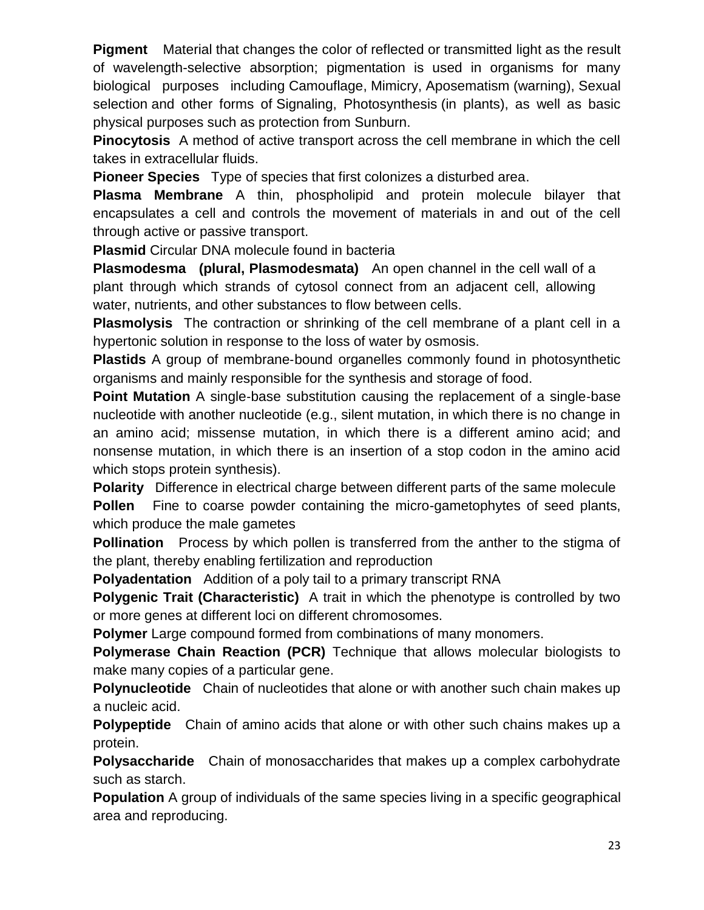**Pigment** Material that changes the color of reflected or transmitted light as the result of wavelength-selective absorption; pigmentation is used in organisms for many biological purposes including [Camouflage,](http://en.wikipedia.org/wiki/Camouflage) [Mimicry,](http://en.wikipedia.org/wiki/Mimicry) [Aposematism](http://en.wikipedia.org/wiki/Aposematism) (warning), [Sexual](http://en.wikipedia.org/wiki/Sexual_selection)  [selection](http://en.wikipedia.org/wiki/Sexual_selection) and other forms of [Signaling,](http://en.wikipedia.org/wiki/Signalling_theory) [Photosynthesis](http://en.wikipedia.org/wiki/Photosynthesis) (in plants), as well as basic physical purposes such as protection from [Sunburn.](http://en.wikipedia.org/wiki/Sunburn)

**Pinocytosis** A method of active transport across the cell membrane in which the cell takes in extracellular fluids.

**Pioneer Species** Type of species that first colonizes a disturbed area.

**Plasma Membrane** A thin, phospholipid and protein molecule bilayer that encapsulates a cell and controls the movement of materials in and out of the cell through active or passive transport.

**Plasmid** Circular DNA molecule found in bacteria

**Plasmodesma (plural, Plasmodesmata)** An open channel in the cell wall of a plant through which strands of cytosol connect from an adjacent cell, allowing water, nutrients, and other substances to flow between cells.

**Plasmolysis** The contraction or shrinking of the cell membrane of a plant cell in a hypertonic solution in response to the loss of water by osmosis.

**Plastids** A group of membrane‐bound organelles commonly found in photosynthetic organisms and mainly responsible for the synthesis and storage of food.

**Point Mutation** A single‐base substitution causing the replacement of a single‐base nucleotide with another nucleotide (e.g., silent mutation, in which there is no change in an amino acid; missense mutation, in which there is a different amino acid; and nonsense mutation, in which there is an insertion of a stop codon in the amino acid which stops protein synthesis).

**Polarity** Difference in electrical charge between different parts of the same molecule **Pollen** Fine to coarse powder containing the micro-gametophytes of seed plants, which produce the male gametes

**Pollination** Process by which pollen is transferred from the anther to the stigma of the plant, thereby enabling fertilization and reproduction

**Polyadentation** Addition of a poly tail to a primary transcript RNA

**Polygenic Trait (Characteristic)** A trait in which the phenotype is controlled by two or more genes at different loci on different chromosomes.

**Polymer** Large compound formed from combinations of many monomers.

**Polymerase Chain Reaction (PCR)** Technique that allows molecular biologists to make many copies of a particular gene.

**Polynucleotide** Chain of nucleotides that alone or with another such chain makes up a nucleic acid.

**Polypeptide** Chain of amino acids that alone or with other such chains makes up a protein.

**Polysaccharide** Chain of monosaccharides that makes up a complex carbohydrate such as starch.

**Population** A group of individuals of the same species living in a specific geographical area and reproducing.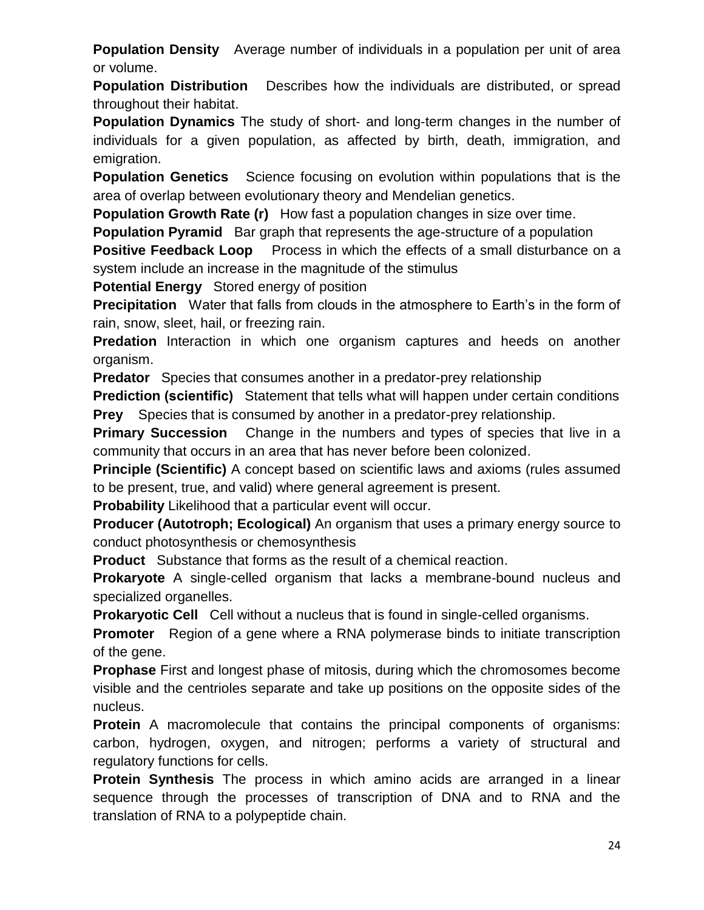**Population Density** Average number of individuals in a population per unit of area or volume.

**Population Distribution** Describes how the individuals are distributed, or spread throughout their habitat.

**Population Dynamics** The study of short‐ and long‐term changes in the number of individuals for a given population, as affected by birth, death, immigration, and emigration.

**Population Genetics** Science focusing on evolution within populations that is the area of overlap between evolutionary theory and Mendelian genetics.

**Population Growth Rate (r)** How fast a population changes in size over time.

**Population Pyramid** Bar graph that represents the age-structure of a population

**Positive Feedback Loop** Process in which the effects of a small disturbance on a system include an increase in the magnitude of the stimulus

**Potential Energy** Stored energy of position

**Precipitation** Water that falls from clouds in the atmosphere to Earth's in the form of rain, snow, sleet, hail, or freezing rain.

**Predation** Interaction in which one organism captures and heeds on another organism.

**Predator** Species that consumes another in a predator-prey relationship

**Prediction (scientific)** Statement that tells what will happen under certain conditions **Prey** Species that is consumed by another in a predator-prey relationship.

**Primary Succession** Change in the numbers and types of species that live in a community that occurs in an area that has never before been colonized.

**Principle (Scientific)** A concept based on scientific laws and axioms (rules assumed to be present, true, and valid) where general agreement is present.

**Probability** Likelihood that a particular event will occur.

**Producer (Autotroph; Ecological)** An organism that uses a primary energy source to conduct photosynthesis or chemosynthesis

**Product** Substance that forms as the result of a chemical reaction.

**Prokaryote** A single‐celled organism that lacks a membrane‐bound nucleus and specialized organelles.

**Prokaryotic Cell** Cell without a nucleus that is found in single-celled organisms.

**Promoter** Region of a gene where a RNA polymerase binds to initiate transcription of the gene.

**Prophase** First and longest phase of mitosis, during which the chromosomes become visible and the centrioles separate and take up positions on the opposite sides of the nucleus.

**Protein** A macromolecule that contains the principal components of organisms: carbon, hydrogen, oxygen, and nitrogen; performs a variety of structural and regulatory functions for cells.

**Protein Synthesis** The process in which amino acids are arranged in a linear sequence through the processes of transcription of DNA and to RNA and the translation of RNA to a polypeptide chain.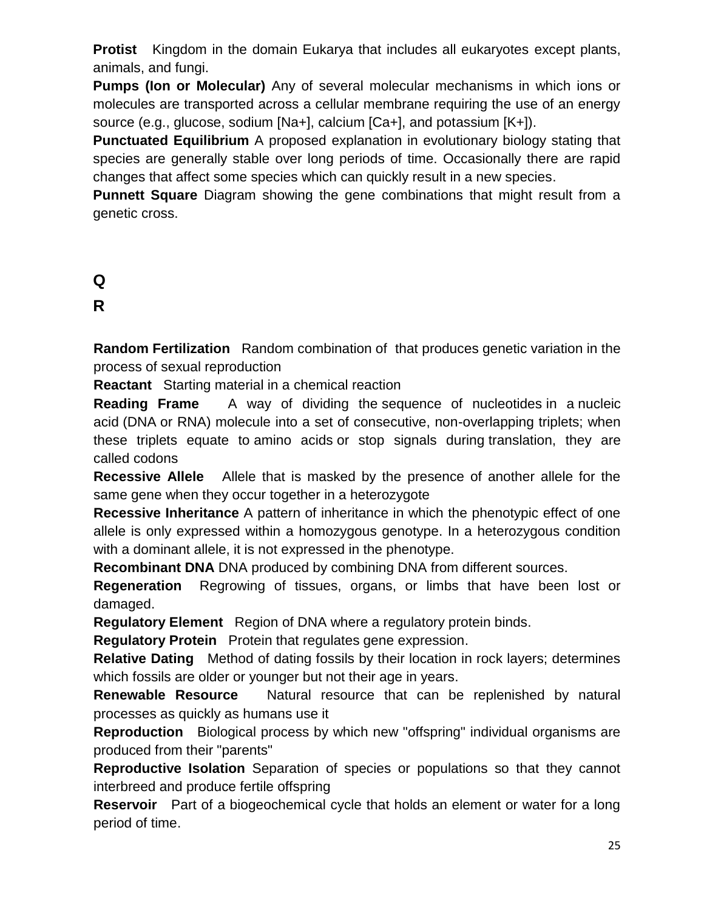**Protist** Kingdom in the domain Eukarya that includes all eukaryotes except plants, animals, and fungi.

**Pumps (Ion or Molecular)** Any of several molecular mechanisms in which ions or molecules are transported across a cellular membrane requiring the use of an energy source (e.g., glucose, sodium [Na+], calcium [Ca+], and potassium [K+]).

**Punctuated Equilibrium** A proposed explanation in evolutionary biology stating that species are generally stable over long periods of time. Occasionally there are rapid changes that affect some species which can quickly result in a new species.

**Punnett Square** Diagram showing the gene combinations that might result from a genetic cross.

# **Q**

# **R**

**Random Fertilization** Random combination of that produces genetic variation in the process of sexual reproduction

**Reactant** Starting material in a chemical reaction

**Reading Frame** A way of dividing the [sequence of nucleotides](http://en.wikipedia.org/wiki/Nucleic_acid_sequence) in a [nucleic](http://en.wikipedia.org/wiki/Nucleic_acid)  [acid](http://en.wikipedia.org/wiki/Nucleic_acid) [\(DNA](http://en.wikipedia.org/wiki/DNA) or [RNA\)](http://en.wikipedia.org/wiki/RNA) molecule into a set of consecutive, non-overlapping triplets; when these triplets equate to [amino acids](http://en.wikipedia.org/wiki/Amino_acid) or stop signals during [translation,](http://en.wikipedia.org/wiki/Translation_(biology)) they are called [codons](http://en.wikipedia.org/wiki/Codon)

**Recessive Allele** Allele that is masked by the presence of another allele for the same gene when they occur together in a heterozygote

**Recessive Inheritance** A pattern of inheritance in which the phenotypic effect of one allele is only expressed within a homozygous genotype. In a heterozygous condition with a dominant allele, it is not expressed in the phenotype.

**Recombinant DNA** DNA produced by combining DNA from different sources.

**Regeneration** Regrowing of tissues, organs, or limbs that have been lost or damaged.

**Regulatory Element** Region of DNA where a regulatory protein binds.

**Regulatory Protein** Protein that regulates gene expression.

**Relative Dating** Method of dating fossils by their location in rock layers; determines which fossils are older or younger but not their age in years.

**Renewable Resource** Natural resource that can be replenished by natural processes as quickly as humans use it

**Reproduction** Biological process by which new "offspring" individual organisms are produced from their "parents"

**Reproductive Isolation** Separation of species or populations so that they cannot interbreed and produce fertile offspring

**Reservoir** Part of a biogeochemical cycle that holds an element or water for a long period of time.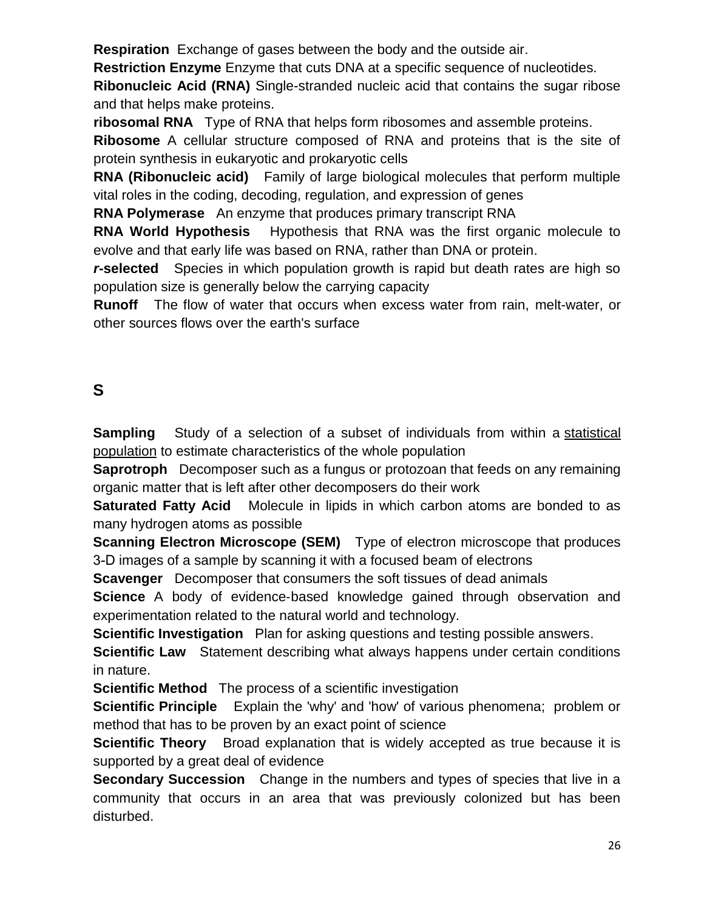**Respiration** Exchange of gases between the body and the outside air.

**Restriction Enzyme** Enzyme that cuts DNA at a specific sequence of nucleotides.

**Ribonucleic Acid (RNA)** Single-stranded nucleic acid that contains the sugar ribose and that helps make proteins.

**ribosomal RNA** Type of RNA that helps form ribosomes and assemble proteins.

**Ribosome** A cellular structure composed of RNA and proteins that is the site of protein synthesis in eukaryotic and prokaryotic cells

**RNA (Ribonucleic acid)** Family of large biological molecules that perform multiple vital roles in the coding, decoding, regulation, and expression of genes

**RNA Polymerase** An enzyme that produces primary transcript RNA

**RNA World Hypothesis** Hypothesis that RNA was the first organic molecule to evolve and that early life was based on RNA, rather than DNA or protein.

*r***-selected** Species in which population growth is rapid but death rates are high so population size is generally below the carrying capacity

**Runoff** The flow of water that occurs when excess water from rain, melt-water, or other sources flows over the earth's surface

# **S**

**Sampling** Study of a selection of a subset of individuals from within a [statistical](http://en.wikipedia.org/wiki/Population_(statistics)) [population](http://en.wikipedia.org/wiki/Population_(statistics)) to estimate characteristics of the whole population

**Saprotroph** Decomposer such as a fungus or protozoan that feeds on any remaining organic matter that is left after other decomposers do their work

**Saturated Fatty Acid** Molecule in lipids in which carbon atoms are bonded to as many hydrogen atoms as possible

**Scanning Electron Microscope (SEM)** Type of electron microscope that produces 3-D images of a sample by scanning it with a focused beam of electrons

**Scavenger** Decomposer that consumers the soft tissues of dead animals

**Science** A body of evidence-based knowledge gained through observation and experimentation related to the natural world and technology.

**Scientific Investigation** Plan for asking questions and testing possible answers.

**Scientific Law** Statement describing what always happens under certain conditions in nature.

**Scientific Method** The process of a scientific investigation

**Scientific Principle** Explain the 'why' and 'how' of various phenomena; problem or method that has to be proven by an exact point of science

**Scientific Theory** Broad explanation that is widely accepted as true because it is supported by a great deal of evidence

**Secondary Succession** Change in the numbers and types of species that live in a community that occurs in an area that was previously colonized but has been disturbed.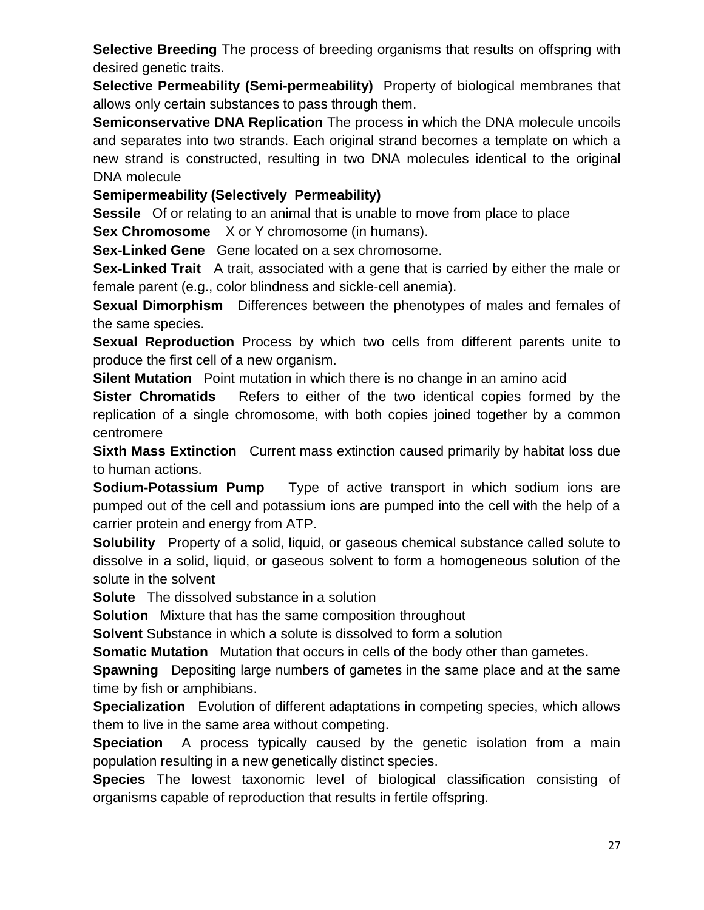**Selective Breeding** The process of breeding organisms that results on offspring with desired genetic traits.

**Selective Permeability (Semi-permeability)** Property of biological membranes that allows only certain substances to pass through them.

**Semiconservative DNA Replication** The process in which the DNA molecule uncoils and separates into two strands. Each original strand becomes a template on which a new strand is constructed, resulting in two DNA molecules identical to the original DNA molecule

**Semipermeability (Selectively Permeability)**

**Sessile** Of or relating to an animal that is unable to move from place to place **Sex Chromosome** X or Y chromosome (in humans).

**Sex-Linked Gene** Gene located on a sex chromosome.

**Sex**‐**Linked Trait** A trait, associated with a gene that is carried by either the male or female parent (e.g., color blindness and sickle‐cell anemia).

**Sexual Dimorphism** Differences between the phenotypes of males and females of the same species.

**Sexual Reproduction** Process by which two cells from different parents unite to produce the first cell of a new organism.

**Silent Mutation** Point mutation in which there is no change in an amino acid

**Sister Chromatids** Refers to either of the two identical copies formed by the replication of a single chromosome, with both copies joined together by a common centromere

**Sixth Mass Extinction** Current mass extinction caused primarily by habitat loss due to human actions.

**Sodium-Potassium Pump** Type of active transport in which sodium ions are pumped out of the cell and potassium ions are pumped into the cell with the help of a carrier protein and energy from ATP.

**Solubility** Property of a solid, liquid, or gaseous chemical substance called solute to dissolve in a solid, liquid, or gaseous solvent to form a homogeneous solution of the solute in the solvent

**Solute** The dissolved substance in a [solution](http://en.wikipedia.org/wiki/Solution)

**Solution** Mixture that has the same composition throughout

**Solvent** Substance in which a solute is dissolved to form a solution

**Somatic Mutation** Mutation that occurs in cells of the body other than gametes**.** 

**Spawning** Depositing large numbers of gametes in the same place and at the same time by fish or amphibians.

**Specialization** Evolution of different adaptations in competing species, which allows them to live in the same area without competing.

**Speciation** A process typically caused by the genetic isolation from a main population resulting in a new genetically distinct species.

**Species** The lowest taxonomic level of biological classification consisting of organisms capable of reproduction that results in fertile offspring.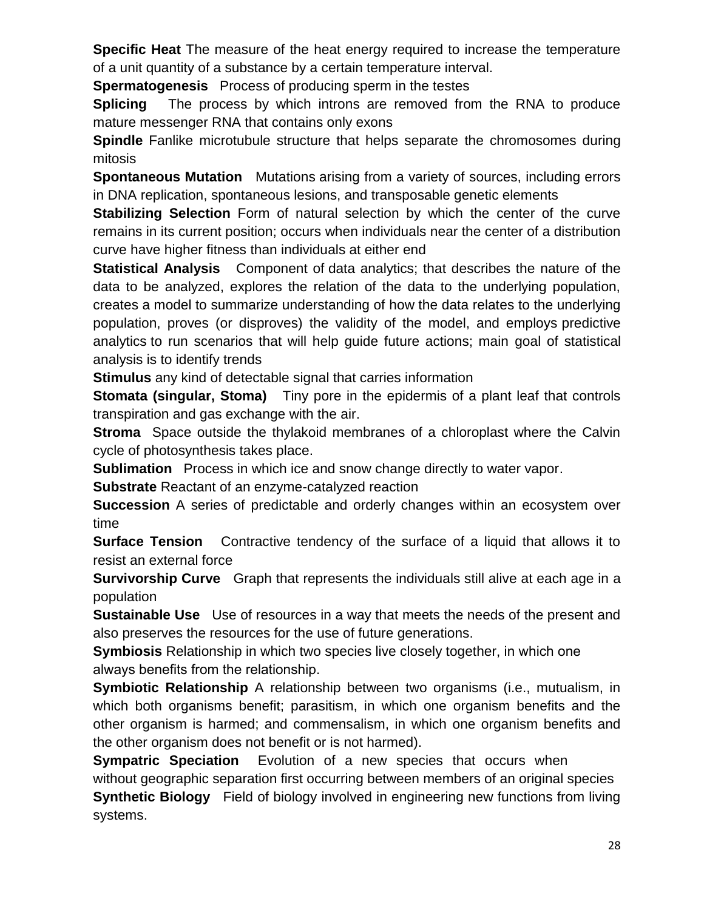**Specific Heat** The measure of the heat energy required to increase the temperature of a unit quantity of a substance by a certain temperature interval.

**Spermatogenesis** Process of producing sperm in the testes

**Splicing** The process by which introns are removed from the RNA to produce mature messenger RNA that contains only exons

**Spindle** Fanlike microtubule structure that helps separate the chromosomes during mitosis

**Spontaneous Mutation** Mutations arising from a variety of sources, including errors in DNA replication, spontaneous lesions, and transposable genetic elements

**Stabilizing Selection** Form of natural selection by which the center of the curve remains in its current position; occurs when individuals near the center of a distribution curve have higher fitness than individuals at either end

**Statistical Analysis** Component of [data analytics;](http://searchdatamanagement.techtarget.com/definition/data-analytics) that describes the nature of the data to be analyzed, explores the relation of the data to the underlying population, creates a [model](http://searchdatamanagement.techtarget.com/definition/data-modeling) to summarize understanding of how the data relates to the underlying population, proves (or disproves) the validity of the model, and employs [predictive](http://searchcrm.techtarget.com/definition/predictive-analytics)  [analytics](http://searchcrm.techtarget.com/definition/predictive-analytics) to run scenarios that will help guide future actions; main goal of statistical analysis is to identify trends

**Stimulus** any kind of detectable signal that carries information

**Stomata (singular, Stoma)** Tiny pore in the epidermis of a plant leaf that controls transpiration and gas exchange with the air.

**Stroma** Space outside the thylakoid membranes of a chloroplast where the Calvin cycle of photosynthesis takes place.

**Sublimation** Process in which ice and snow change directly to water vapor.

**Substrate** Reactant of an enzyme-catalyzed reaction

**Succession** A series of predictable and orderly changes within an ecosystem over time

**Surface Tension** Contractive tendency of the surface of a liquid that allows it to resist an external force

**Survivorship Curve** Graph that represents the individuals still alive at each age in a population

**Sustainable Use** Use of resources in a way that meets the needs of the present and also preserves the resources for the use of future generations.

**Symbiosis** Relationship in which two species live closely together, in which one always benefits from the relationship.

**Symbiotic Relationship** A relationship between two organisms (i.e., mutualism, in which both organisms benefit; parasitism, in which one organism benefits and the other organism is harmed; and commensalism, in which one organism benefits and the other organism does not benefit or is not harmed).

**Sympatric Speciation** Evolution of a new species that occurs when without geographic separation first occurring between members of an original species **Synthetic Biology** Field of biology involved in engineering new functions from living systems.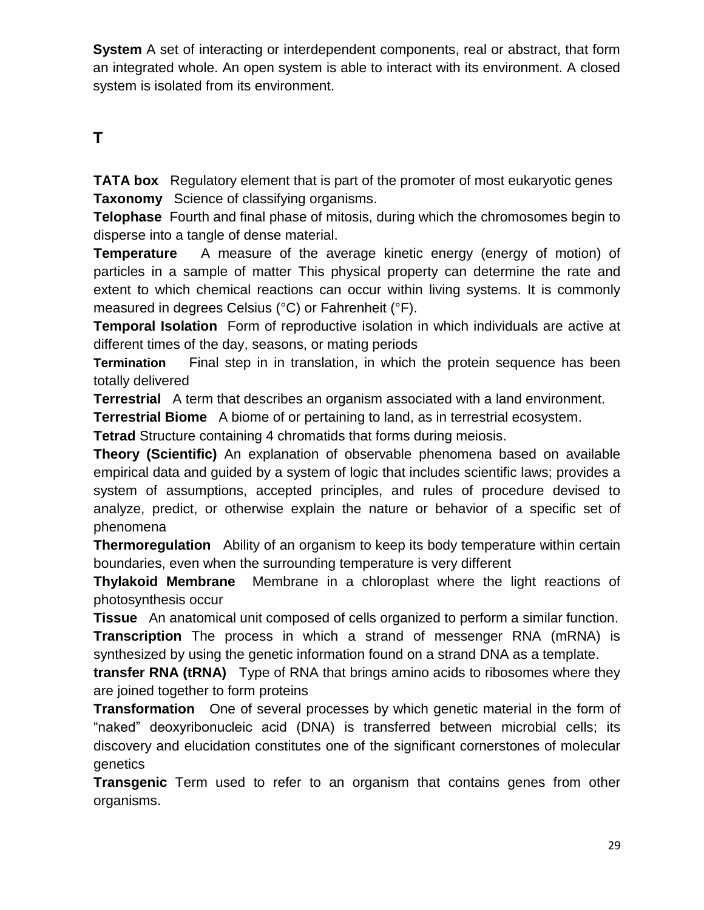**System** A set of interacting or interdependent components, real or abstract, that form an integrated whole. An open system is able to interact with its environment. A closed system is isolated from its environment.

# **T**

**TATA box** Regulatory element that is part of the promoter of most eukaryotic genes **Taxonomy** Science of classifying organisms.

**Telophase** Fourth and final phase of mitosis, during which the chromosomes begin to disperse into a tangle of dense material.

**Temperature** A measure of the average kinetic energy (energy of motion) of particles in a sample of matter This physical property can determine the rate and extent to which chemical reactions can occur within living systems. It is commonly measured in degrees Celsius (°C) or Fahrenheit (°F).

**Temporal Isolation** Form of reproductive isolation in which individuals are active at different times of the day, seasons, or mating periods

**Termination** Final step in in translation, in which the protein sequence has been totally delivered

**Terrestrial** A term that describes an organism associated with a land environment.

**Terrestrial Biome** A biome of or pertaining to land, as in terrestrial ecosystem.

**Tetrad** Structure containing 4 chromatids that forms during meiosis.

**Theory (Scientific)** An explanation of observable phenomena based on available empirical data and guided by a system of logic that includes scientific laws; provides a system of assumptions, accepted principles, and rules of procedure devised to analyze, predict, or otherwise explain the nature or behavior of a specific set of phenomena

**Thermoregulation** Ability of an organism to keep its body temperature within certain boundaries, even when the surrounding temperature is very different

**Thylakoid Membrane** Membrane in a chloroplast where the light reactions of photosynthesis occur

**Tissue** An anatomical unit composed of cells organized to perform a similar function.

**Transcription** The process in which a strand of messenger RNA (mRNA) is synthesized by using the genetic information found on a strand DNA as a template.

**transfer RNA (tRNA)** Type of RNA that brings amino acids to ribosomes where they are joined together to form proteins

**Transformation** One of several processes by which genetic material in the form of "naked" deoxyribonucleic acid [\(DNA\)](http://www.britannica.com/EBchecked/topic/167063/DNA) is transferred between microbial cells; its discovery and elucidation constitutes one of the significant cornerstones of molecular genetics

**Transgenic** Term used to refer to an organism that contains genes from other organisms.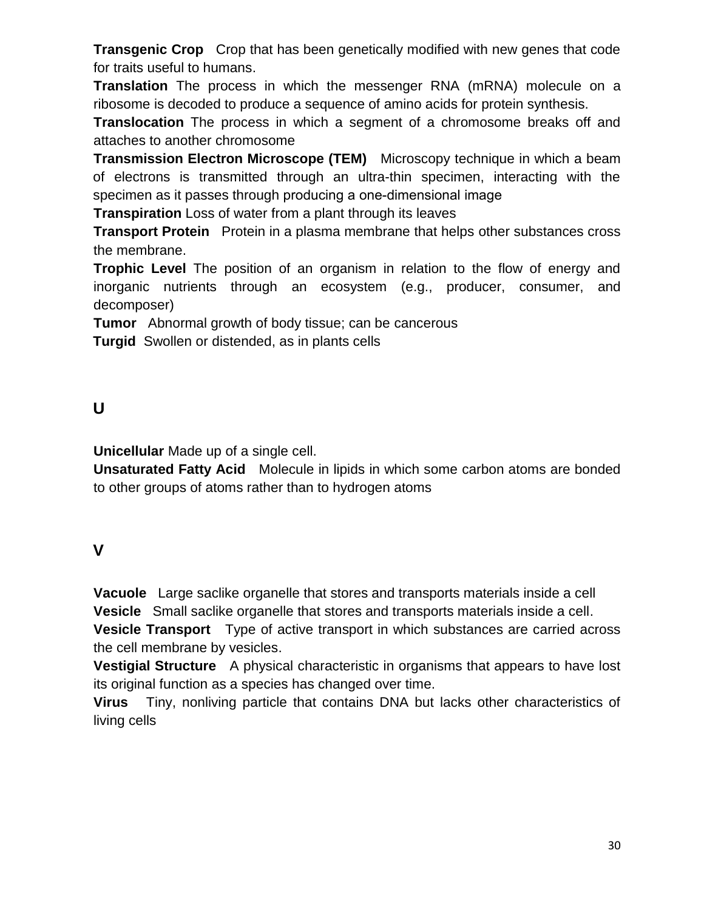**Transgenic Crop** Crop that has been genetically modified with new genes that code for traits useful to humans.

**Translation** The process in which the messenger RNA (mRNA) molecule on a ribosome is decoded to produce a sequence of amino acids for protein synthesis.

**Translocation** The process in which a segment of a chromosome breaks off and attaches to another chromosome

**Transmission Electron Microscope (TEM)** Microscopy technique in which a beam of electrons is transmitted through an ultra-thin specimen, interacting with the specimen as it passes through producing a one-dimensional image

**Transpiration** Loss of water from a plant through its leaves

**Transport Protein** Protein in a plasma membrane that helps other substances cross the membrane.

**Trophic Level** The position of an organism in relation to the flow of energy and inorganic nutrients through an ecosystem (e.g., producer, consumer, and decomposer)

**Tumor** Abnormal growth of body tissue; can be cancerous

**Turgid** Swollen or distended, as in plants cells

#### **U**

**Unicellular** Made up of a single cell.

**Unsaturated Fatty Acid** Molecule in lipids in which some carbon atoms are bonded to other groups of atoms rather than to hydrogen atoms

## **V**

**Vacuole** Large saclike organelle that stores and transports materials inside a cell **Vesicle** Small saclike organelle that stores and transports materials inside a cell. **Vesicle Transport** Type of active transport in which substances are carried across the cell membrane by vesicles.

**Vestigial Structure** A physical characteristic in organisms that appears to have lost its original function as a species has changed over time.

**Virus** Tiny, nonliving particle that contains DNA but lacks other characteristics of living cells